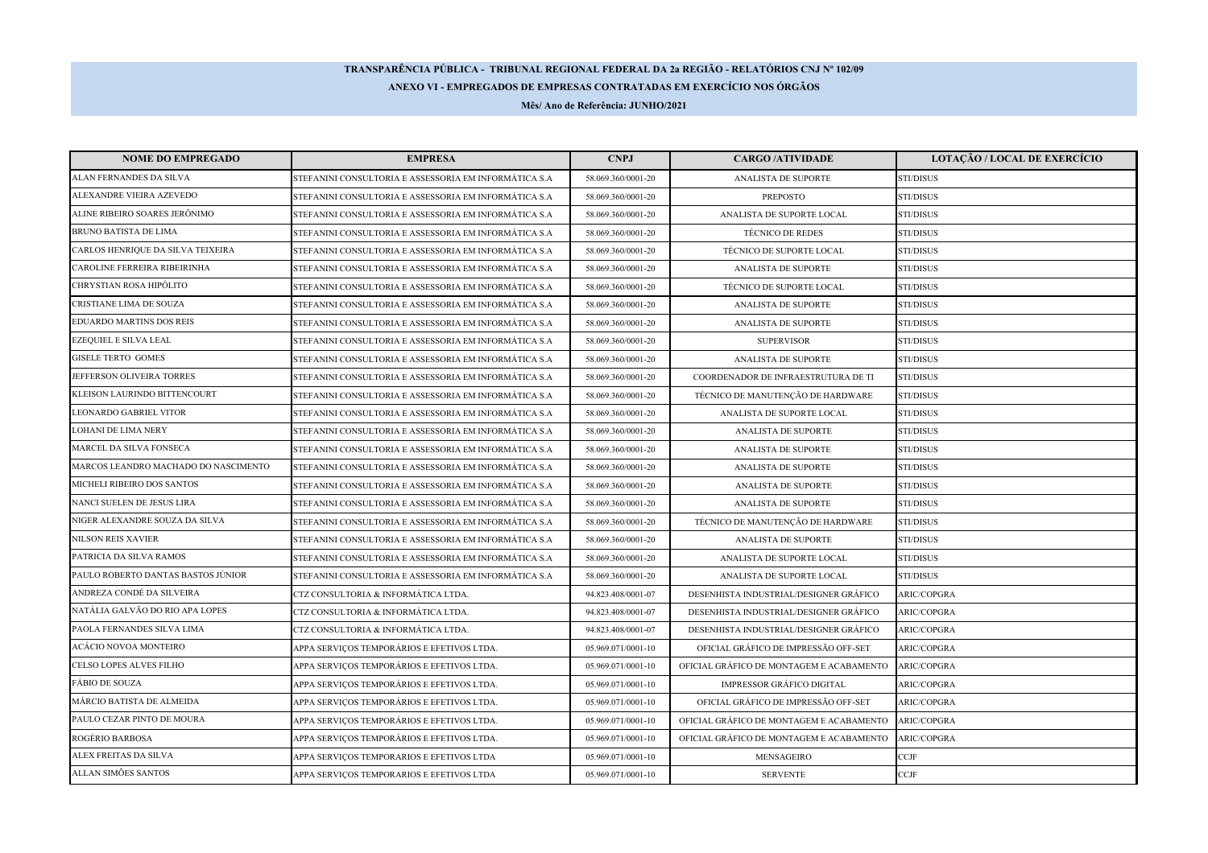## **TRANSPARÊNCIA PÚBLICA - TRIBUNAL REGIONAL FEDERAL DA 2a REGIÃO - RELATÓRIOS CNJ Nº 102/09ANEXO VI - EMPREGADOS DE EMPRESAS CONTRATADAS EM EXERCÍCIO NOS ÓRGÃOS**

**Mês/ Ano de Referência: JUNHO/2021**

| <b>NOME DO EMPREGADO</b>             | <b>EMPRESA</b>                                        | <b>CNPJ</b>        | <b>CARGO /ATIVIDADE</b>                  | <b>LOTAÇÃO / LOCAL DE EXERCÍCIO</b> |
|--------------------------------------|-------------------------------------------------------|--------------------|------------------------------------------|-------------------------------------|
| ALAN FERNANDES DA SILVA              | STEFANINI CONSULTORIA E ASSESSORIA EM INFORMÁTICA S.A | 58.069.360/0001-20 | ANALISTA DE SUPORTE                      | STI/DISUS                           |
| ALEXANDRE VIEIRA AZEVEDO             | STEFANINI CONSULTORIA E ASSESSORIA EM INFORMÁTICA S.A | 58.069.360/0001-20 | <b>PREPOSTO</b>                          | STI/DISUS                           |
| ALINE RIBEIRO SOARES JERÔNIMO        | STEFANINI CONSULTORIA E ASSESSORIA EM INFORMÁTICA S.A | 58.069.360/0001-20 | ANALISTA DE SUPORTE LOCAL                | STI/DISUS                           |
| <b>BRUNO BATISTA DE LIMA</b>         | STEFANINI CONSULTORIA E ASSESSORIA EM INFORMÁTICA S.A | 58.069.360/0001-20 | <b>TÉCNICO DE REDES</b>                  | STI/DISUS                           |
| CARLOS HENRIQUE DA SILVA TEIXEIRA    | STEFANINI CONSULTORIA E ASSESSORIA EM INFORMÁTICA S.A | 58.069.360/0001-20 | TÉCNICO DE SUPORTE LOCAL                 | STI/DISUS                           |
| CAROLINE FERREIRA RIBEIRINHA         | STEFANINI CONSULTORIA E ASSESSORIA EM INFORMÁTICA S.A | 58.069.360/0001-20 | ANALISTA DE SUPORTE                      | STI/DISUS                           |
| CHRYSTIAN ROSA HIPÓLITO              | STEFANINI CONSULTORIA E ASSESSORIA EM INFORMÁTICA S.A | 58.069.360/0001-20 | TÉCNICO DE SUPORTE LOCAL                 | STI/DISUS                           |
| CRISTIANE LIMA DE SOUZA              | STEFANINI CONSULTORIA E ASSESSORIA EM INFORMÁTICA S.A | 58.069.360/0001-20 | ANALISTA DE SUPORTE                      | STI/DISUS                           |
| <b>EDUARDO MARTINS DOS REIS</b>      | STEFANINI CONSULTORIA E ASSESSORIA EM INFORMÁTICA S.A | 58.069.360/0001-20 | ANALISTA DE SUPORTE                      | STI/DISUS                           |
| EZEQUIEL E SILVA LEAL                | STEFANINI CONSULTORIA E ASSESSORIA EM INFORMÁTICA S.A | 58.069.360/0001-20 | <b>SUPERVISOR</b>                        | STI/DISUS                           |
| <b>GISELE TERTO GOMES</b>            | STEFANINI CONSULTORIA E ASSESSORIA EM INFORMÁTICA S.A | 58.069.360/0001-20 | ANALISTA DE SUPORTE                      | STI/DISUS                           |
| JEFFERSON OLIVEIRA TORRES            | STEFANINI CONSULTORIA E ASSESSORIA EM INFORMÁTICA S.A | 58.069.360/0001-20 | COORDENADOR DE INFRAESTRUTURA DE TI      | STI/DISUS                           |
| KLEISON LAURINDO BITTENCOURT         | STEFANINI CONSULTORIA E ASSESSORIA EM INFORMÁTICA S.A | 58.069.360/0001-20 | TÉCNICO DE MANUTENÇÃO DE HARDWARE        | STI/DISUS                           |
| LEONARDO GABRIEL VITOR               | STEFANINI CONSULTORIA E ASSESSORIA EM INFORMÁTICA S.A | 58.069.360/0001-20 | ANALISTA DE SUPORTE LOCAL                | <b>STI/DISUS</b>                    |
| LOHANI DE LIMA NERY                  | STEFANINI CONSULTORIA E ASSESSORIA EM INFORMÁTICA S.A | 58.069.360/0001-20 | ANALISTA DE SUPORTE                      | STI/DISUS                           |
| MARCEL DA SILVA FONSECA              | STEFANINI CONSULTORIA E ASSESSORIA EM INFORMÁTICA S.A | 58.069.360/0001-20 | ANALISTA DE SUPORTE                      | STI/DISUS                           |
| MARCOS LEANDRO MACHADO DO NASCIMENTO | STEFANINI CONSULTORIA E ASSESSORIA EM INFORMÁTICA S.A | 58.069.360/0001-20 | ANALISTA DE SUPORTE                      | STI/DISUS                           |
| MICHELI RIBEIRO DOS SANTOS           | STEFANINI CONSULTORIA E ASSESSORIA EM INFORMÁTICA S.A | 58.069.360/0001-20 | ANALISTA DE SUPORTE                      | STI/DISUS                           |
| NANCI SUELEN DE JESUS LIRA           | STEFANINI CONSULTORIA E ASSESSORIA EM INFORMÁTICA S.A | 58.069.360/0001-20 | ANALISTA DE SUPORTE                      | STI/DISUS                           |
| NIGER ALEXANDRE SOUZA DA SILVA       | STEFANINI CONSULTORIA E ASSESSORIA EM INFORMÁTICA S.A | 58.069.360/0001-20 | TÉCNICO DE MANUTENÇÃO DE HARDWARE        | STI/DISUS                           |
| <b>NILSON REIS XAVIER</b>            | STEFANINI CONSULTORIA E ASSESSORIA EM INFORMÁTICA S.A | 58.069.360/0001-20 | ANALISTA DE SUPORTE                      | STI/DISUS                           |
| PATRICIA DA SILVA RAMOS              | STEFANINI CONSULTORIA E ASSESSORIA EM INFORMÁTICA S.A | 58.069.360/0001-20 | ANALISTA DE SUPORTE LOCAL                | STI/DISUS                           |
| PAULO ROBERTO DANTAS BASTOS JÚNIOR   | STEFANINI CONSULTORIA E ASSESSORIA EM INFORMÁTICA S.A | 58.069.360/0001-20 | ANALISTA DE SUPORTE LOCAL                | STI/DISUS                           |
| ANDREZA CONDÉ DA SILVEIRA            | CTZ CONSULTORIA & INFORMÁTICA LTDA.                   | 94.823.408/0001-07 | DESENHISTA INDUSTRIAL/DESIGNER GRÁFICO   | ARIC/COPGRA                         |
| NATÁLIA GALVÃO DO RIO APA LOPES      | CTZ CONSULTORIA & INFORMÁTICA LTDA.                   | 94.823.408/0001-07 | DESENHISTA INDUSTRIAL/DESIGNER GRÁFICO   | ARIC/COPGRA                         |
| PAOLA FERNANDES SILVA LIMA           | CTZ CONSULTORIA & INFORMÁTICA LTDA.                   | 94.823.408/0001-07 | DESENHISTA INDUSTRIAL/DESIGNER GRÁFICO   | ARIC/COPGRA                         |
| ACÁCIO NOVOA MONTEIRO                | APPA SERVIÇOS TEMPORÁRIOS E EFETIVOS LTDA.            | 05.969.071/0001-10 | OFICIAL GRÁFICO DE IMPRESSÃO OFF-SET     | ARIC/COPGRA                         |
| CELSO LOPES ALVES FILHO              | APPA SERVIÇOS TEMPORÁRIOS E EFETIVOS LTDA.            | 05.969.071/0001-10 | OFICIAL GRÁFICO DE MONTAGEM E ACABAMENTO | ARIC/COPGRA                         |
| FÁBIO DE SOUZA                       | APPA SERVICOS TEMPORÁRIOS E EFETIVOS LTDA.            | 05.969.071/0001-10 | <b>IMPRESSOR GRÁFICO DIGITAL</b>         | ARIC/COPGRA                         |
| MÁRCIO BATISTA DE ALMEIDA            | APPA SERVIÇOS TEMPORÁRIOS E EFETIVOS LTDA.            | 05.969.071/0001-10 | OFICIAL GRÁFICO DE IMPRESSÃO OFF-SET     | ARIC/COPGRA                         |
| PAULO CEZAR PINTO DE MOURA           | APPA SERVICOS TEMPORÁRIOS E EFETIVOS LTDA.            | 05.969.071/0001-10 | OFICIAL GRÁFICO DE MONTAGEM E ACABAMENTO | ARIC/COPGRA                         |
| ROGÉRIO BARBOSA                      | APPA SERVIÇOS TEMPORÁRIOS E EFETIVOS LTDA.            | 05.969.071/0001-10 | OFICIAL GRÁFICO DE MONTAGEM E ACABAMENTO | ARIC/COPGRA                         |
| ALEX FREITAS DA SILVA                | APPA SERVIÇOS TEMPORARIOS E EFETIVOS LTDA             | 05.969.071/0001-10 | MENSAGEIRO                               | CCJF                                |
| ALLAN SIMÕES SANTOS                  | APPA SERVIÇOS TEMPORARIOS E EFETIVOS LTDA             | 05.969.071/0001-10 | <b>SERVENTE</b>                          | <b>CCJF</b>                         |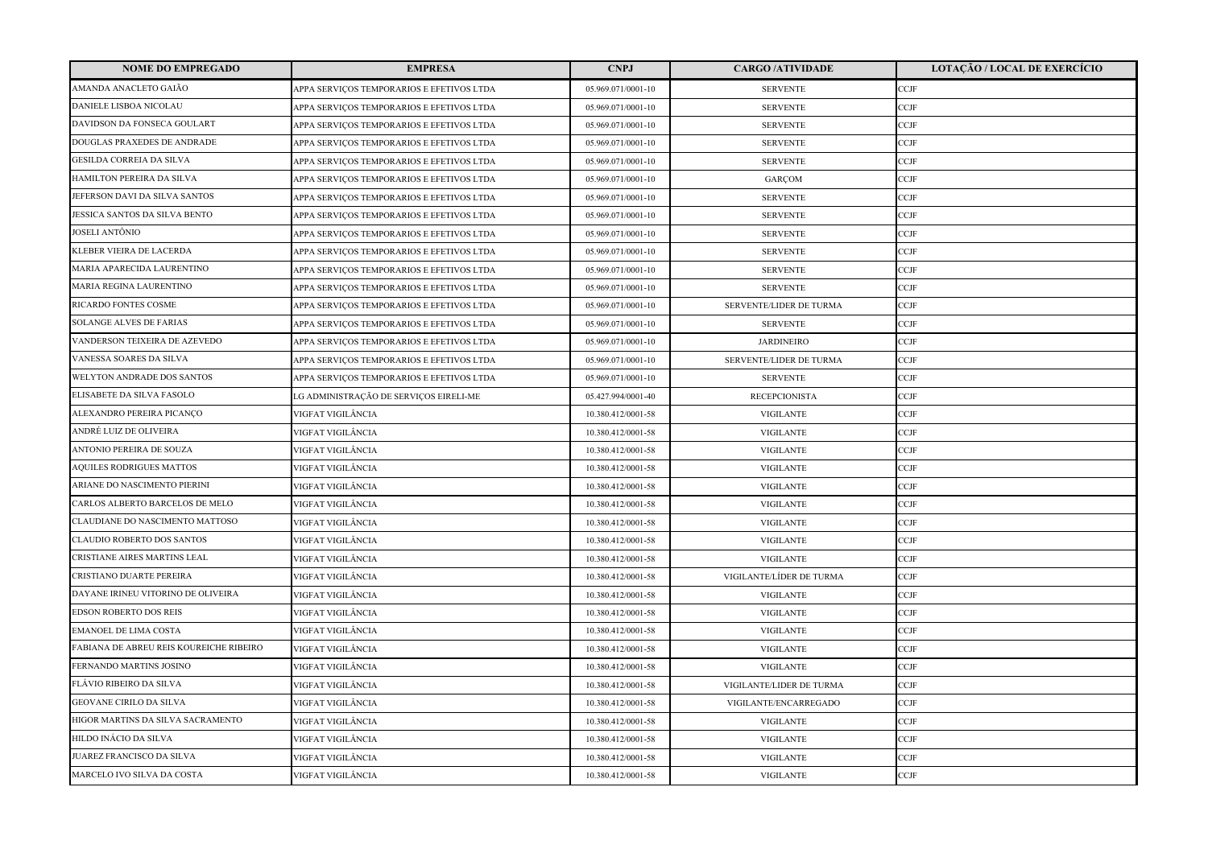| <b>NOME DO EMPREGADO</b>                | <b>EMPRESA</b>                            | <b>CNPJ</b>        | <b>CARGO /ATIVIDADE</b>  | <b>LOTAÇÃO / LOCAL DE EXERCÍCIO</b> |
|-----------------------------------------|-------------------------------------------|--------------------|--------------------------|-------------------------------------|
| AMANDA ANACLETO GAIÃO                   | APPA SERVIÇOS TEMPORARIOS E EFETIVOS LTDA | 05.969.071/0001-10 | <b>SERVENTE</b>          | CCJF                                |
| DANIELE LISBOA NICOLAU                  | APPA SERVICOS TEMPORARIOS E EFETIVOS LTDA | 05.969.071/0001-10 | <b>SERVENTE</b>          | CCJF                                |
| DAVIDSON DA FONSECA GOULART             | APPA SERVICOS TEMPORARIOS E EFETIVOS LTDA | 05.969.071/0001-10 | <b>SERVENTE</b>          | <b>CCJF</b>                         |
| DOUGLAS PRAXEDES DE ANDRADE             | APPA SERVIÇOS TEMPORARIOS E EFETIVOS LTDA | 05.969.071/0001-10 | <b>SERVENTE</b>          | CCJF                                |
| <b>GESILDA CORREIA DA SILVA</b>         | APPA SERVIÇOS TEMPORARIOS E EFETIVOS LTDA | 05.969.071/0001-10 | <b>SERVENTE</b>          | CCJF                                |
| HAMILTON PEREIRA DA SILVA               | APPA SERVICOS TEMPORARIOS E EFETIVOS LTDA | 05.969.071/0001-10 | GARÇOM                   | CCJF                                |
| JEFERSON DAVI DA SILVA SANTOS           | APPA SERVICOS TEMPORARIOS E EFETIVOS LTDA | 05.969.071/0001-10 | <b>SERVENTE</b>          | CCJF                                |
| JESSICA SANTOS DA SILVA BENTO           | APPA SERVIÇOS TEMPORARIOS E EFETIVOS LTDA | 05.969.071/0001-10 | <b>SERVENTE</b>          | CCJF                                |
| JOSELI ANTÔNIO                          | APPA SERVIÇOS TEMPORARIOS E EFETIVOS LTDA | 05.969.071/0001-10 | <b>SERVENTE</b>          | CCJF                                |
| KLEBER VIEIRA DE LACERDA                | APPA SERVIÇOS TEMPORARIOS E EFETIVOS LTDA | 05.969.071/0001-10 | <b>SERVENTE</b>          | CCJF                                |
| MARIA APARECIDA LAURENTINO              | APPA SERVICOS TEMPORARIOS E EFETIVOS LTDA | 05.969.071/0001-10 | <b>SERVENTE</b>          | CCJF                                |
| MARIA REGINA LAURENTINO                 | APPA SERVIÇOS TEMPORARIOS E EFETIVOS LTDA | 05.969.071/0001-10 | <b>SERVENTE</b>          | CCJF                                |
| RICARDO FONTES COSME                    | APPA SERVIÇOS TEMPORARIOS E EFETIVOS LTDA | 05.969.071/0001-10 | SERVENTE/LIDER DE TURMA  | CCJF                                |
| <b>SOLANGE ALVES DE FARIAS</b>          | APPA SERVICOS TEMPORARIOS E EFETIVOS LTDA | 05.969.071/0001-10 | <b>SERVENTE</b>          | CCJF                                |
| VANDERSON TEIXEIRA DE AZEVEDO           | APPA SERVICOS TEMPORARIOS E EFETIVOS LTDA | 05.969.071/0001-10 | <b>JARDINEIRO</b>        | CCJF                                |
| VANESSA SOARES DA SILVA                 | APPA SERVIÇOS TEMPORARIOS E EFETIVOS LTDA | 05.969.071/0001-10 | SERVENTE/LIDER DE TURMA  | CCJF                                |
| <b>WELYTON ANDRADE DOS SANTOS</b>       | APPA SERVIÇOS TEMPORARIOS E EFETIVOS LTDA | 05.969.071/0001-10 | <b>SERVENTE</b>          | CCJF                                |
| ELISABETE DA SILVA FASOLO               | LG ADMINISTRAÇÃO DE SERVIÇOS EIRELI-ME    | 05.427.994/0001-40 | <b>RECEPCIONISTA</b>     | <b>CCJF</b>                         |
| ALEXANDRO PEREIRA PICANÇO               | VIGFAT VIGILÂNCIA                         | 10.380.412/0001-58 | <b>VIGILANTE</b>         | CCJF                                |
| ANDRÉ LUIZ DE OLIVEIRA                  | VIGFAT VIGILÂNCIA                         | 10.380.412/0001-58 | <b>VIGILANTE</b>         | CCJF                                |
| <b>ANTONIO PEREIRA DE SOUZA</b>         | VIGFAT VIGILÂNCIA                         | 10.380.412/0001-58 | <b>VIGILANTE</b>         | CCJF                                |
| <b>AQUILES RODRIGUES MATTOS</b>         | VIGFAT VIGILÂNCIA                         | 10.380.412/0001-58 | <b>VIGILANTE</b>         | CCJF                                |
| ARIANE DO NASCIMENTO PIERINI            | VIGFAT VIGILÂNCIA                         | 10.380.412/0001-58 | <b>VIGILANTE</b>         | CCJF                                |
| CARLOS ALBERTO BARCELOS DE MELO         | VIGFAT VIGILÂNCIA                         | 10.380.412/0001-58 | <b>VIGILANTE</b>         | CCJF                                |
| CLAUDIANE DO NASCIMENTO MATTOSO         | VIGFAT VIGILÂNCIA                         | 10.380.412/0001-58 | <b>VIGILANTE</b>         | CCJF                                |
| CLAUDIO ROBERTO DOS SANTOS              | VIGFAT VIGILÂNCIA                         | 10.380.412/0001-58 | <b>VIGILANTE</b>         | CCJF                                |
| CRISTIANE AIRES MARTINS LEAL            | VIGFAT VIGILÂNCIA                         | 10.380.412/0001-58 | <b>VIGILANTE</b>         | CCJF                                |
| CRISTIANO DUARTE PEREIRA                | VIGFAT VIGILÂNCIA                         | 10.380.412/0001-58 | VIGILANTE/LÍDER DE TURMA | CCJF                                |
| DAYANE IRINEU VITORINO DE OLIVEIRA      | VIGFAT VIGILÂNCIA                         | 10.380.412/0001-58 | <b>VIGILANTE</b>         | CCJF                                |
| <b>EDSON ROBERTO DOS REIS</b>           | VIGFAT VIGILÂNCIA                         | 10.380.412/0001-58 | <b>VIGILANTE</b>         | CCJF                                |
| <b>EMANOEL DE LIMA COSTA</b>            | VIGFAT VIGILÂNCIA                         | 10.380.412/0001-58 | <b>VIGILANTE</b>         | CCJF                                |
| FABIANA DE ABREU REIS KOUREICHE RIBEIRO | VIGFAT VIGILÂNCIA                         | 10.380.412/0001-58 | <b>VIGILANTE</b>         | CCJF                                |
| FERNANDO MARTINS JOSINO                 | VIGFAT VIGILÂNCIA                         | 10.380.412/0001-58 | <b>VIGILANTE</b>         | CCJF                                |
| FLÁVIO RIBEIRO DA SILVA                 | VIGFAT VIGILÂNCIA                         | 10.380.412/0001-58 | VIGILANTE/LIDER DE TURMA | CCJF                                |
| <b>GEOVANE CIRILO DA SILVA</b>          | VIGFAT VIGILÂNCIA                         | 10.380.412/0001-58 | VIGILANTE/ENCARREGADO    | CCJF                                |
| HIGOR MARTINS DA SILVA SACRAMENTO       | VIGFAT VIGILÂNCIA                         | 10.380.412/0001-58 | <b>VIGILANTE</b>         | CCJF                                |
| HILDO INÁCIO DA SILVA                   | VIGFAT VIGILÂNCIA                         | 10.380.412/0001-58 | <b>VIGILANTE</b>         | CCJF                                |
| JUAREZ FRANCISCO DA SILVA               | VIGFAT VIGILÂNCIA                         | 10.380.412/0001-58 | <b>VIGILANTE</b>         | CCJF                                |
| MARCELO IVO SILVA DA COSTA              | VIGFAT VIGILÂNCIA                         | 10.380.412/0001-58 | <b>VIGILANTE</b>         | CCJF                                |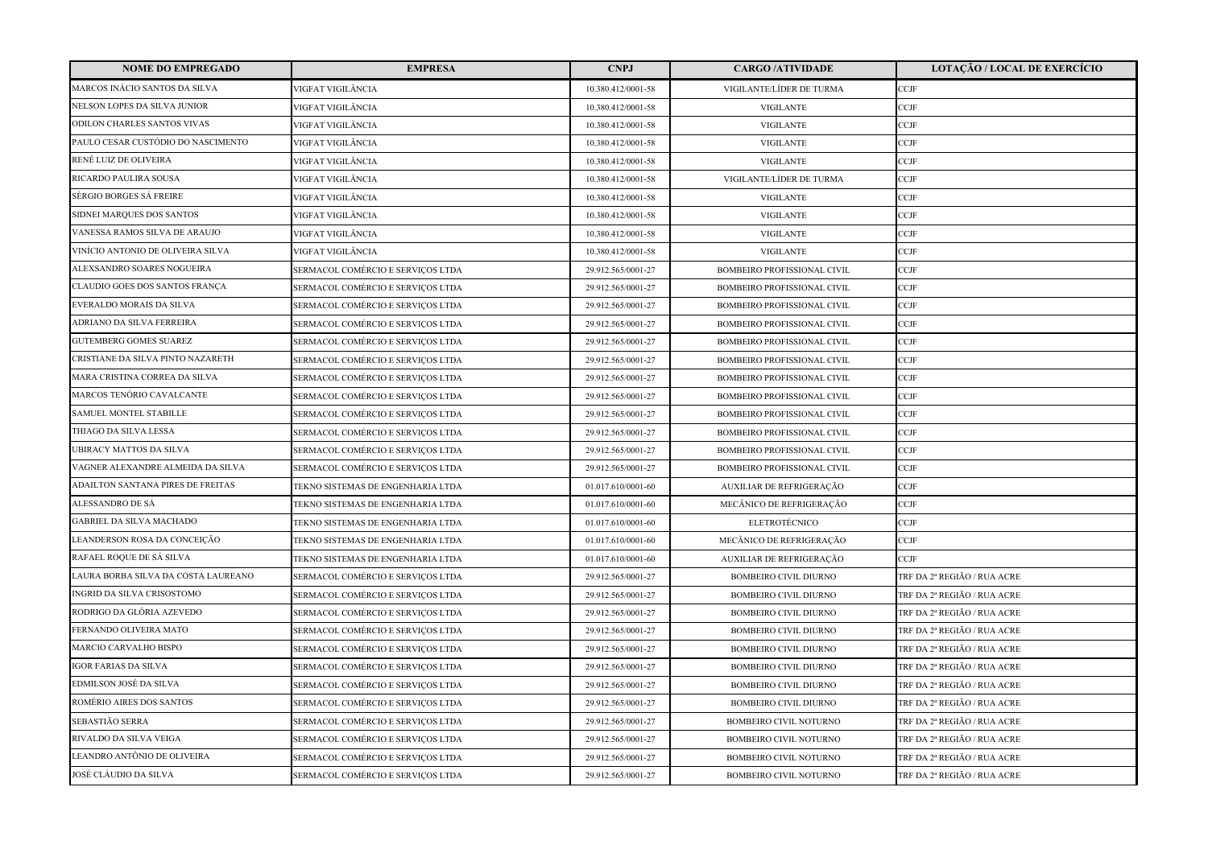| <b>NOME DO EMPREGADO</b>            | <b>EMPRESA</b>                    | <b>CNPJ</b>        | <b>CARGO/ATIVIDADE</b>             | <b>LOTAÇÃO / LOCAL DE EXERCÍCIO</b> |
|-------------------------------------|-----------------------------------|--------------------|------------------------------------|-------------------------------------|
| MARCOS INÁCIO SANTOS DA SILVA       | VIGFAT VIGILÂNCIA                 | 10.380.412/0001-58 | VIGILANTE/LÍDER DE TURMA           | CCJF                                |
| NELSON LOPES DA SILVA JUNIOR        | VIGFAT VIGILÂNCIA                 | 10.380.412/0001-58 | <b>VIGILANTE</b>                   | CCJF                                |
| ODILON CHARLES SANTOS VIVAS         | VIGFAT VIGILÂNCIA                 | 10.380.412/0001-58 | <b>VIGILANTE</b>                   | <b>CCJF</b>                         |
| PAULO CESAR CUSTÓDIO DO NASCIMENTO  | VIGFAT VIGILÂNCIA                 | 10.380.412/0001-58 | <b>VIGILANTE</b>                   | CCJF                                |
| RENÉ LUIZ DE OLIVEIRA               | VIGFAT VIGILÂNCIA                 | 10.380.412/0001-58 | <b>VIGILANTE</b>                   | CCJF                                |
| RICARDO PAULIRA SOUSA               | VIGFAT VIGILÂNCIA                 | 10.380.412/0001-58 | VIGILANTE/LÍDER DE TURMA           | CCJF                                |
| SÉRGIO BORGES SÁ FREIRE             | VIGFAT VIGILÂNCIA                 | 10.380.412/0001-58 | <b>VIGILANTE</b>                   | CCJF                                |
| SIDNEI MARQUES DOS SANTOS           | VIGFAT VIGILÂNCIA                 | 10.380.412/0001-58 | <b>VIGILANTE</b>                   | CCJF                                |
| VANESSA RAMOS SILVA DE ARAUJO       | VIGFAT VIGILÂNCIA                 | 10.380.412/0001-58 | <b>VIGILANTE</b>                   | CCJF                                |
| VINÍCIO ANTONIO DE OLIVEIRA SILVA   | VIGFAT VIGILÂNCIA                 | 10.380.412/0001-58 | <b>VIGILANTE</b>                   | CCJF                                |
| ALEXSANDRO SOARES NOGUEIRA          | SERMACOL COMÉRCIO E SERVIÇOS LTDA | 29.912.565/0001-27 | <b>BOMBEIRO PROFISSIONAL CIVIL</b> | CCJF                                |
| CLAUDIO GOES DOS SANTOS FRANÇA      | SERMACOL COMÉRCIO E SERVIÇOS LTDA | 29.912.565/0001-27 | BOMBEIRO PROFISSIONAL CIVIL        | CCJF                                |
| EVERALDO MORAIS DA SILVA            | SERMACOL COMÉRCIO E SERVICOS LTDA | 29.912.565/0001-27 | <b>BOMBEIRO PROFISSIONAL CIVIL</b> | CCJF                                |
| ADRIANO DA SILVA FERREIRA           | SERMACOL COMÉRCIO E SERVIÇOS LTDA | 29.912.565/0001-27 | BOMBEIRO PROFISSIONAL CIVIL        | CCJF                                |
| <b>GUTEMBERG GOMES SUAREZ</b>       | SERMACOL COMÉRCIO E SERVIÇOS LTDA | 29.912.565/0001-27 | BOMBEIRO PROFISSIONAL CIVIL        | CCJF                                |
| CRISTIANE DA SILVA PINTO NAZARETH   | SERMACOL COMÉRCIO E SERVIÇOS LTDA | 29.912.565/0001-27 | BOMBEIRO PROFISSIONAL CIVIL        | CCJF                                |
| MARA CRISTINA CORREA DA SILVA       | SERMACOL COMÉRCIO E SERVIÇOS LTDA | 29.912.565/0001-27 | <b>BOMBEIRO PROFISSIONAL CIVIL</b> | CCJF                                |
| MARCOS TENÓRIO CAVALCANTE           | SERMACOL COMÉRCIO E SERVIÇOS LTDA | 29.912.565/0001-27 | <b>BOMBEIRO PROFISSIONAL CIVIL</b> | CCJF                                |
| SAMUEL MONTEL STABILLE              | SERMACOL COMÉRCIO E SERVIÇOS LTDA | 29.912.565/0001-27 | BOMBEIRO PROFISSIONAL CIVIL        | CCJF                                |
| THIAGO DA SILVA LESSA               | SERMACOL COMÉRCIO E SERVIÇOS LTDA | 29.912.565/0001-27 | BOMBEIRO PROFISSIONAL CIVIL        | CCJF                                |
| UBIRACY MATTOS DA SILVA             | SERMACOL COMÉRCIO E SERVICOS LTDA | 29.912.565/0001-27 | <b>BOMBEIRO PROFISSIONAL CIVIL</b> | CCJF                                |
| VAGNER ALEXANDRE ALMEIDA DA SILVA   | SERMACOL COMÉRCIO E SERVIÇOS LTDA | 29.912.565/0001-27 | BOMBEIRO PROFISSIONAL CIVIL        | CCJF                                |
| ADAILTON SANTANA PIRES DE FREITAS   | TEKNO SISTEMAS DE ENGENHARIA LTDA | 01.017.610/0001-60 | AUXILIAR DE REFRIGERAÇÃO           | CCJF                                |
| ALESSANDRO DE SÁ                    | TEKNO SISTEMAS DE ENGENHARIA LTDA | 01.017.610/0001-60 | MECÂNICO DE REFRIGERAÇÃO           | CCJF                                |
| <b>GABRIEL DA SILVA MACHADO</b>     | TEKNO SISTEMAS DE ENGENHARIA LTDA | 01.017.610/0001-60 | ELETROTÉCNICO                      | CCJF                                |
| LEANDERSON ROSA DA CONCEIÇÃO        | TEKNO SISTEMAS DE ENGENHARIA LTDA | 01.017.610/0001-60 | MECÂNICO DE REFRIGERAÇÃO           | <b>CCJF</b>                         |
| RAFAEL ROQUE DE SÁ SILVA            | TEKNO SISTEMAS DE ENGENHARIA LTDA | 01.017.610/0001-60 | AUXILIAR DE REFRIGERAÇÃO           | CCJF                                |
| LAURA BORBA SILVA DA COSTA LAUREANO | SERMACOL COMÉRCIO E SERVICOS LTDA | 29.912.565/0001-27 | <b>BOMBEIRO CIVIL DIURNO</b>       | TRF DA 2ª REGIÃO / RUA ACRE         |
| INGRID DA SILVA CRISOSTOMO          | SERMACOL COMÉRCIO E SERVIÇOS LTDA | 29.912.565/0001-27 | <b>BOMBEIRO CIVIL DIURNO</b>       | TRF DA 2ª REGIÃO / RUA ACRE         |
| RODRIGO DA GLÓRIA AZEVEDO           | SERMACOL COMÉRCIO E SERVIÇOS LTDA | 29.912.565/0001-27 | <b>BOMBEIRO CIVIL DIURNO</b>       | TRF DA 2ª REGIÃO / RUA ACRE         |
| FERNANDO OLIVEIRA MATO              | SERMACOL COMÉRCIO E SERVIÇOS LTDA | 29.912.565/0001-27 | <b>BOMBEIRO CIVIL DIURNO</b>       | TRF DA 2ª REGIÃO / RUA ACRE         |
| MARCIO CARVALHO BISPO               | SERMACOL COMÉRCIO E SERVIÇOS LTDA | 29.912.565/0001-27 | <b>BOMBEIRO CIVIL DIURNO</b>       | TRF DA 2ª REGIÃO / RUA ACRE         |
| IGOR FARIAS DA SILVA                | SERMACOL COMÉRCIO E SERVIÇOS LTDA | 29.912.565/0001-27 | <b>BOMBEIRO CIVIL DIURNO</b>       | TRF DA 2ª REGIÃO / RUA ACRE         |
| EDMILSON JOSÉ DA SILVA              | SERMACOL COMÉRCIO E SERVIÇOS LTDA | 29.912.565/0001-27 | <b>BOMBEIRO CIVIL DIURNO</b>       | TRF DA 2ª REGIÃO / RUA ACRE         |
| ROMÉRIO AIRES DOS SANTOS            | SERMACOL COMÉRCIO E SERVIÇOS LTDA | 29.912.565/0001-27 | <b>BOMBEIRO CIVIL DIURNO</b>       | TRF DA 2ª REGIÃO / RUA ACRE         |
| SEBASTIÃO SERRA                     | SERMACOL COMÉRCIO E SERVIÇOS LTDA | 29.912.565/0001-27 | <b>BOMBEIRO CIVIL NOTURNO</b>      | TRF DA 2ª REGIÃO / RUA ACRE         |
| RIVALDO DA SILVA VEIGA              | SERMACOL COMÉRCIO E SERVIÇOS LTDA | 29.912.565/0001-27 | <b>BOMBEIRO CIVIL NOTURNO</b>      | TRF DA 2ª REGIÃO / RUA ACRE         |
| LEANDRO ANTÔNIO DE OLIVEIRA         | SERMACOL COMÉRCIO E SERVIÇOS LTDA | 29.912.565/0001-27 | BOMBEIRO CIVIL NOTURNO             | TRF DA 2ª REGIÃO / RUA ACRE         |
| JOSÉ CLÁUDIO DA SILVA               | SERMACOL COMÉRCIO E SERVICOS LTDA | 29.912.565/0001-27 | <b>BOMBEIRO CIVIL NOTURNO</b>      | TRF DA 2ª REGIÃO / RUA ACRE         |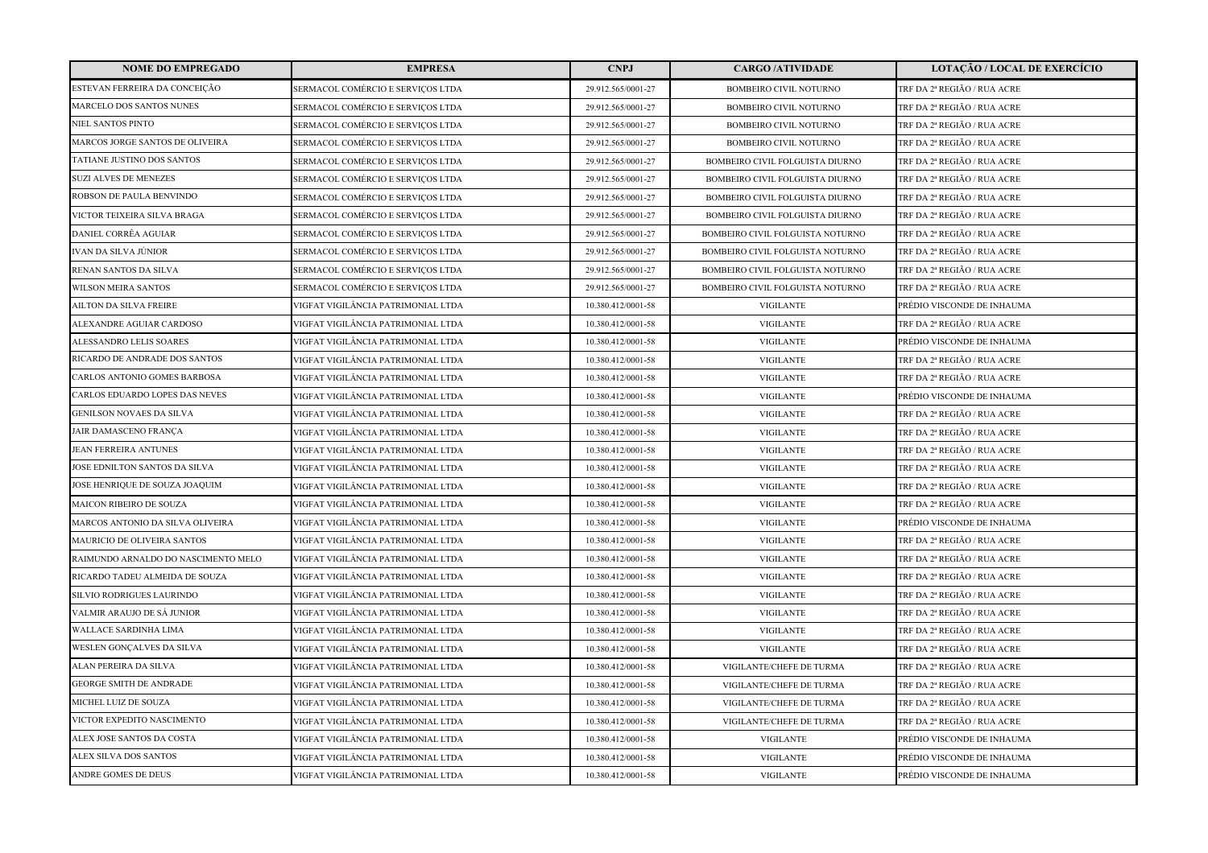| <b>NOME DO EMPREGADO</b>            | <b>EMPRESA</b>                     | <b>CNPJ</b>        | <b>CARGO /ATIVIDADE</b>          | <b>LOTAÇÃO / LOCAL DE EXERCÍCIO</b> |
|-------------------------------------|------------------------------------|--------------------|----------------------------------|-------------------------------------|
| ESTEVAN FERREIRA DA CONCEIÇÃO       | SERMACOL COMÉRCIO E SERVIÇOS LTDA  | 29.912.565/0001-27 | <b>BOMBEIRO CIVIL NOTURNO</b>    | TRF DA 2ª REGIÃO / RUA ACRE         |
| MARCELO DOS SANTOS NUNES            | SERMACOL COMÉRCIO E SERVIÇOS LTDA  | 29.912.565/0001-27 | <b>BOMBEIRO CIVIL NOTURNO</b>    | TRF DA 2ª REGIÃO / RUA ACRE         |
| NIEL SANTOS PINTO                   | SERMACOL COMÉRCIO E SERVIÇOS LTDA  | 29.912.565/0001-27 | <b>BOMBEIRO CIVIL NOTURNO</b>    | TRF DA 2ª REGIÃO / RUA ACRE         |
| MARCOS JORGE SANTOS DE OLIVEIRA     | SERMACOL COMÉRCIO E SERVIÇOS LTDA  | 29.912.565/0001-27 | BOMBEIRO CIVIL NOTURNO           | TRF DA 2ª REGIÃO / RUA ACRE         |
| TATIANE JUSTINO DOS SANTOS          | SERMACOL COMÉRCIO E SERVIÇOS LTDA  | 29.912.565/0001-27 | BOMBEIRO CIVIL FOLGUISTA DIURNO  | TRF DA 2ª REGIÃO / RUA ACRE         |
| <b>SUZI ALVES DE MENEZES</b>        | SERMACOL COMÉRCIO E SERVICOS LTDA  | 29.912.565/0001-27 | BOMBEIRO CIVIL FOLGUISTA DIURNO  | TRF DA 2ª REGIÃO / RUA ACRE         |
| ROBSON DE PAULA BENVINDO            | SERMACOL COMÉRCIO E SERVICOS LTDA  | 29.912.565/0001-27 | BOMBEIRO CIVIL FOLGUISTA DIURNO  | TRF DA 2ª REGIÃO / RUA ACRE         |
| VICTOR TEIXEIRA SILVA BRAGA         | SERMACOL COMÉRCIO E SERVIÇOS LTDA  | 29.912.565/0001-27 | BOMBEIRO CIVIL FOLGUISTA DIURNO  | TRF DA 2ª REGIÃO / RUA ACRE         |
| DANIEL CORRÊA AGUIAR                | SERMACOL COMÉRCIO E SERVIÇOS LTDA  | 29.912.565/0001-27 | BOMBEIRO CIVIL FOLGUISTA NOTURNO | TRF DA 2ª REGIÃO / RUA ACRE         |
| IVAN DA SILVA JÚNIOR                | SERMACOL COMÉRCIO E SERVIÇOS LTDA  | 29.912.565/0001-27 | BOMBEIRO CIVIL FOLGUISTA NOTURNO | TRF DA 2ª REGIÃO / RUA ACRE         |
| RENAN SANTOS DA SILVA               | SERMACOL COMÉRCIO E SERVICOS LTDA  | 29.912.565/0001-27 | BOMBEIRO CIVIL FOLGUISTA NOTURNO | TRF DA 2ª REGIÃO / RUA ACRE         |
| <b>WILSON MEIRA SANTOS</b>          | SERMACOL COMÉRCIO E SERVIÇOS LTDA  | 29.912.565/0001-27 | BOMBEIRO CIVIL FOLGUISTA NOTURNO | TRF DA 2ª REGIÃO / RUA ACRE         |
| <b>AILTON DA SILVA FREIRE</b>       | VIGFAT VIGILÂNCIA PATRIMONIAL LTDA | 10.380.412/0001-58 | <b>VIGILANTE</b>                 | PRÉDIO VISCONDE DE INHAUMA          |
| ALEXANDRE AGUIAR CARDOSO            | VIGFAT VIGILÂNCIA PATRIMONIAL LTDA | 10.380.412/0001-58 | <b>VIGILANTE</b>                 | TRF DA 2ª REGIÃO / RUA ACRE         |
| ALESSANDRO LELIS SOARES             | VIGFAT VIGILÂNCIA PATRIMONIAL LTDA | 10.380.412/0001-58 | <b>VIGILANTE</b>                 | PRÉDIO VISCONDE DE INHAUMA          |
| RICARDO DE ANDRADE DOS SANTOS       | VIGFAT VIGILÂNCIA PATRIMONIAL LTDA | 10.380.412/0001-58 | <b>VIGILANTE</b>                 | TRF DA 2ª REGIÃO / RUA ACRE         |
| <b>CARLOS ANTONIO GOMES BARBOSA</b> | VIGFAT VIGILÂNCIA PATRIMONIAL LTDA | 10.380.412/0001-58 | <b>VIGILANTE</b>                 | TRF DA 2ª REGIÃO / RUA ACRE         |
| CARLOS EDUARDO LOPES DAS NEVES      | VIGFAT VIGILÂNCIA PATRIMONIAL LTDA | 10.380.412/0001-58 | <b>VIGILANTE</b>                 | PRÉDIO VISCONDE DE INHAUMA          |
| <b>GENILSON NOVAES DA SILVA</b>     | VIGFAT VIGILÂNCIA PATRIMONIAL LTDA | 10.380.412/0001-58 | <b>VIGILANTE</b>                 | TRF DA 2ª REGIÃO / RUA ACRE         |
| JAIR DAMASCENO FRANÇA               | VIGFAT VIGILÂNCIA PATRIMONIAL LTDA | 10.380.412/0001-58 | <b>VIGILANTE</b>                 | TRF DA 2ª REGIÃO / RUA ACRE         |
| <b>JEAN FERREIRA ANTUNES</b>        | VIGFAT VIGILÂNCIA PATRIMONIAL LTDA | 10.380.412/0001-58 | <b>VIGILANTE</b>                 | TRF DA 2ª REGIÃO / RUA ACRE         |
| JOSE EDNILTON SANTOS DA SILVA       | VIGFAT VIGILÂNCIA PATRIMONIAL LTDA | 10.380.412/0001-58 | <b>VIGILANTE</b>                 | TRF DA 2ª REGIÃO / RUA ACRE         |
| JOSE HENRIQUE DE SOUZA JOAQUIM      | VIGFAT VIGILÂNCIA PATRIMONIAL LTDA | 10.380.412/0001-58 | <b>VIGILANTE</b>                 | TRF DA 2ª REGIÃO / RUA ACRE         |
| <b>MAICON RIBEIRO DE SOUZA</b>      | VIGFAT VIGILÂNCIA PATRIMONIAL LTDA | 10.380.412/0001-58 | <b>VIGILANTE</b>                 | TRF DA 2ª REGIÃO / RUA ACRE         |
| MARCOS ANTONIO DA SILVA OLIVEIRA    | VIGFAT VIGILÂNCIA PATRIMONIAL LTDA | 10.380.412/0001-58 | <b>VIGILANTE</b>                 | PRÉDIO VISCONDE DE INHAUMA          |
| MAURICIO DE OLIVEIRA SANTOS         | VIGFAT VIGILÂNCIA PATRIMONIAL LTDA | 10.380.412/0001-58 | <b>VIGILANTE</b>                 | TRF DA 2ª REGIÃO / RUA ACRE         |
| RAIMUNDO ARNALDO DO NASCIMENTO MELO | VIGFAT VIGILÂNCIA PATRIMONIAL LTDA | 10.380.412/0001-58 | <b>VIGILANTE</b>                 | TRF DA 2ª REGIÃO / RUA ACRE         |
| RICARDO TADEU ALMEIDA DE SOUZA      | VIGFAT VIGILÂNCIA PATRIMONIAL LTDA | 10.380.412/0001-58 | <b>VIGILANTE</b>                 | TRF DA 2ª REGIÃO / RUA ACRE         |
| SILVIO RODRIGUES LAURINDO           | VIGFAT VIGILÂNCIA PATRIMONIAL LTDA | 10.380.412/0001-58 | <b>VIGILANTE</b>                 | TRF DA 2ª REGIÃO / RUA ACRE         |
| VALMIR ARAUJO DE SÁ JUNIOR          | VIGFAT VIGILÂNCIA PATRIMONIAL LTDA | 10.380.412/0001-58 | <b>VIGILANTE</b>                 | TRF DA 2ª REGIÃO / RUA ACRE         |
| WALLACE SARDINHA LIMA               | VIGFAT VIGILÂNCIA PATRIMONIAL LTDA | 10.380.412/0001-58 | <b>VIGILANTE</b>                 | TRF DA 2ª REGIÃO / RUA ACRE         |
| WESLEN GONÇALVES DA SILVA           | VIGFAT VIGILÂNCIA PATRIMONIAL LTDA | 10.380.412/0001-58 | <b>VIGILANTE</b>                 | TRF DA 2ª REGIÃO / RUA ACRE         |
| ALAN PEREIRA DA SILVA               | VIGFAT VIGILÂNCIA PATRIMONIAL LTDA | 10.380.412/0001-58 | VIGILANTE/CHEFE DE TURMA         | TRF DA 2ª REGIÃO / RUA ACRE         |
| <b>GEORGE SMITH DE ANDRADE</b>      | VIGFAT VIGILÂNCIA PATRIMONIAL LTDA | 10.380.412/0001-58 | VIGILANTE/CHEFE DE TURMA         | TRF DA 2ª REGIÃO / RUA ACRE         |
| MICHEL LUIZ DE SOUZA                | VIGFAT VIGILÂNCIA PATRIMONIAL LTDA | 10.380.412/0001-58 | VIGILANTE/CHEFE DE TURMA         | TRF DA 2ª REGIÃO / RUA ACRE         |
| VICTOR EXPEDITO NASCIMENTO          | VIGFAT VIGILÂNCIA PATRIMONIAL LTDA | 10.380.412/0001-58 | VIGILANTE/CHEFE DE TURMA         | TRF DA 2ª REGIÃO / RUA ACRE         |
| ALEX JOSE SANTOS DA COSTA           | VIGFAT VIGILÂNCIA PATRIMONIAL LTDA | 10.380.412/0001-58 | <b>VIGILANTE</b>                 | PRÉDIO VISCONDE DE INHAUMA          |
| ALEX SILVA DOS SANTOS               | VIGFAT VIGILÂNCIA PATRIMONIAL LTDA | 10.380.412/0001-58 | <b>VIGILANTE</b>                 | PRÉDIO VISCONDE DE INHAUMA          |
| <b>ANDRE GOMES DE DEUS</b>          | VIGFAT VIGILÂNCIA PATRIMONIAL LTDA | 10.380.412/0001-58 | <b>VIGILANTE</b>                 | PRÉDIO VISCONDE DE INHAUMA          |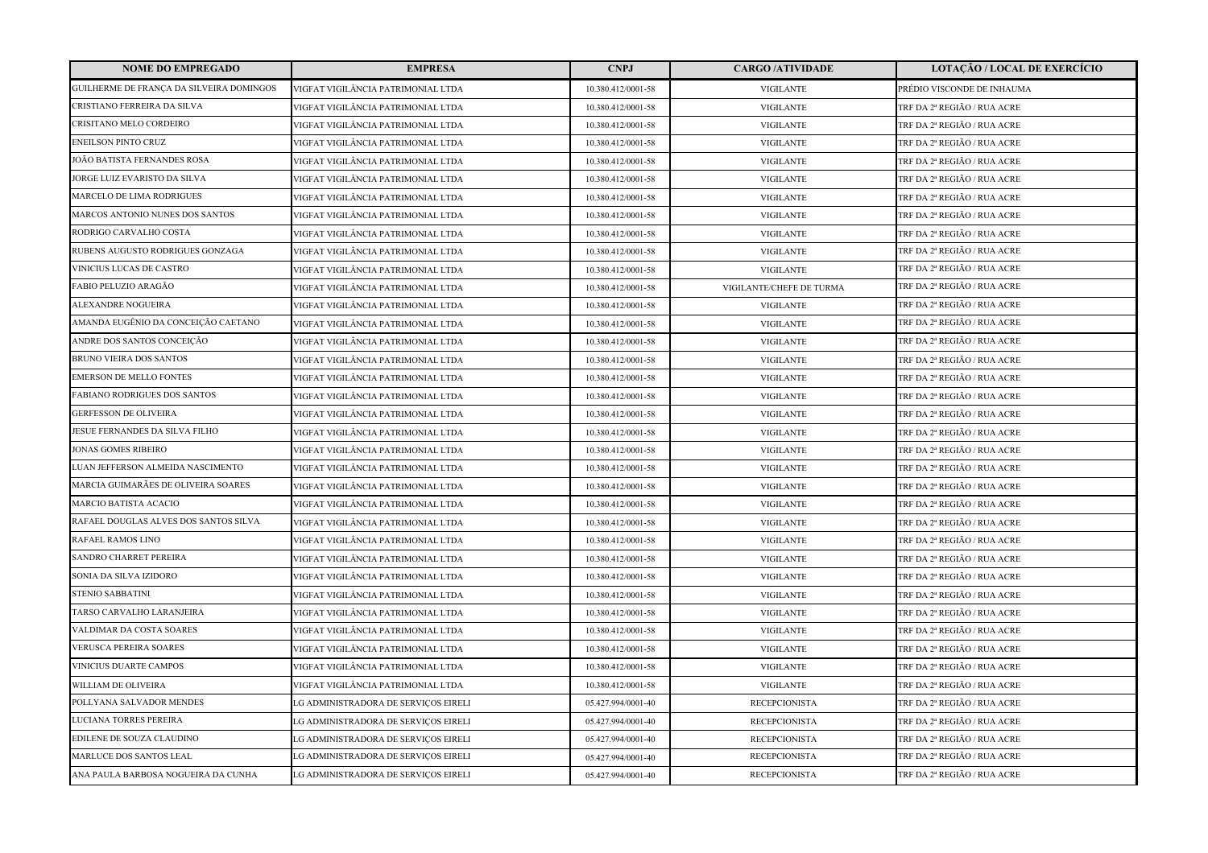| <b>NOME DO EMPREGADO</b>                 | <b>EMPRESA</b>                       | <b>CNPJ</b>        | <b>CARGO/ATIVIDADE</b>   | LOTAÇÃO / LOCAL DE EXERCÍCIO |
|------------------------------------------|--------------------------------------|--------------------|--------------------------|------------------------------|
| GUILHERME DE FRANÇA DA SILVEIRA DOMINGOS | VIGFAT VIGILÂNCIA PATRIMONIAL LTDA   | 10.380.412/0001-58 | <b>VIGILANTE</b>         | PRÉDIO VISCONDE DE INHAUMA   |
| CRISTIANO FERREIRA DA SILVA              | VIGFAT VIGILÂNCIA PATRIMONIAL LTDA   | 10.380.412/0001-58 | <b>VIGILANTE</b>         | TRF DA 2ª REGIÃO / RUA ACRE  |
| CRISITANO MELO CORDEIRO                  | VIGFAT VIGILÂNCIA PATRIMONIAL LTDA   | 10.380.412/0001-58 | <b>VIGILANTE</b>         | TRF DA 2ª REGIÃO / RUA ACRE  |
| <b>ENEILSON PINTO CRUZ</b>               | VIGFAT VIGILÂNCIA PATRIMONIAL LTDA   | 10.380.412/0001-58 | <b>VIGILANTE</b>         | TRF DA 2ª REGIÃO / RUA ACRE  |
| JOÃO BATISTA FERNANDES ROSA              | VIGFAT VIGILÂNCIA PATRIMONIAL LTDA   | 10.380.412/0001-58 | <b>VIGILANTE</b>         | TRF DA 2ª REGIÃO / RUA ACRE  |
| JORGE LUIZ EVARISTO DA SILVA             | VIGFAT VIGILÂNCIA PATRIMONIAL LTDA   | 10.380.412/0001-58 | <b>VIGILANTE</b>         | TRF DA 2ª REGIÃO / RUA ACRE  |
| MARCELO DE LIMA RODRIGUES                | VIGFAT VIGILÂNCIA PATRIMONIAL LTDA   | 10.380.412/0001-58 | <b>VIGILANTE</b>         | TRF DA 2ª REGIÃO / RUA ACRE  |
| MARCOS ANTONIO NUNES DOS SANTOS          | VIGFAT VIGILÂNCIA PATRIMONIAL LTDA   | 10.380.412/0001-58 | <b>VIGILANTE</b>         | TRF DA 2ª REGIÃO / RUA ACRE  |
| RODRIGO CARVALHO COSTA                   | VIGFAT VIGILÂNCIA PATRIMONIAL LTDA   | 10.380.412/0001-58 | <b>VIGILANTE</b>         | TRF DA 2ª REGIÃO / RUA ACRE  |
| RUBENS AUGUSTO RODRIGUES GONZAGA         | VIGFAT VIGILÂNCIA PATRIMONIAL LTDA   | 10.380.412/0001-58 | <b>VIGILANTE</b>         | TRF DA 2ª REGIÃO / RUA ACRE  |
| VINICIUS LUCAS DE CASTRO                 | VIGFAT VIGILÂNCIA PATRIMONIAL LTDA   | 10.380.412/0001-58 | <b>VIGILANTE</b>         | TRF DA 2ª REGIÃO / RUA ACRE  |
| FABIO PELUZIO ARAGÃO                     | VIGFAT VIGILÂNCIA PATRIMONIAL LTDA   | 10.380.412/0001-58 | VIGILANTE/CHEFE DE TURMA | TRF DA 2ª REGIÃO / RUA ACRE  |
| ALEXANDRE NOGUEIRA                       | VIGFAT VIGILÂNCIA PATRIMONIAL LTDA   | 10.380.412/0001-58 | <b>VIGILANTE</b>         | TRF DA 2ª REGIÃO / RUA ACRE  |
| AMANDA EUGÊNIO DA CONCEIÇÃO CAETANO      | VIGFAT VIGILÂNCIA PATRIMONIAL LTDA   | 10.380.412/0001-58 | <b>VIGILANTE</b>         | TRF DA 2ª REGIÃO / RUA ACRE  |
| ANDRE DOS SANTOS CONCEIÇÃO               | VIGFAT VIGILÂNCIA PATRIMONIAL LTDA   | 10.380.412/0001-58 | <b>VIGILANTE</b>         | TRF DA 2ª REGIÃO / RUA ACRE  |
| BRUNO VIEIRA DOS SANTOS                  | VIGFAT VIGILÂNCIA PATRIMONIAL LTDA   | 10.380.412/0001-58 | <b>VIGILANTE</b>         | TRF DA 2ª REGIÃO / RUA ACRE  |
| <b>EMERSON DE MELLO FONTES</b>           | VIGFAT VIGILÂNCIA PATRIMONIAL LTDA   | 10.380.412/0001-58 | <b>VIGILANTE</b>         | TRF DA 2ª REGIÃO / RUA ACRE  |
| FABIANO RODRIGUES DOS SANTOS             | VIGFAT VIGILÂNCIA PATRIMONIAL LTDA   | 10.380.412/0001-58 | <b>VIGILANTE</b>         | TRF DA 2ª REGIÃO / RUA ACRE  |
| <b>GERFESSON DE OLIVEIRA</b>             | VIGFAT VIGILÂNCIA PATRIMONIAL LTDA   | 10.380.412/0001-58 | <b>VIGILANTE</b>         | TRF DA 2ª REGIÃO / RUA ACRE  |
| JESUE FERNANDES DA SILVA FILHO           | VIGFAT VIGILÂNCIA PATRIMONIAL LTDA   | 10.380.412/0001-58 | <b>VIGILANTE</b>         | TRF DA 2ª REGIÃO / RUA ACRE  |
| <b>JONAS GOMES RIBEIRO</b>               | VIGFAT VIGILÂNCIA PATRIMONIAL LTDA   | 10.380.412/0001-58 | <b>VIGILANTE</b>         | TRF DA 2ª REGIÃO / RUA ACRE  |
| LUAN JEFFERSON ALMEIDA NASCIMENTO        | VIGFAT VIGILÂNCIA PATRIMONIAL LTDA   | 10.380.412/0001-58 | <b>VIGILANTE</b>         | TRF DA 2ª REGIÃO / RUA ACRE  |
| MARCIA GUIMARÃES DE OLIVEIRA SOARES      | VIGFAT VIGILÂNCIA PATRIMONIAL LTDA   | 10.380.412/0001-58 | <b>VIGILANTE</b>         | TRF DA 2ª REGIÃO / RUA ACRE  |
| <b>MARCIO BATISTA ACACIO</b>             | VIGFAT VIGILÂNCIA PATRIMONIAL LTDA   | 10.380.412/0001-58 | <b>VIGILANTE</b>         | TRF DA 2ª REGIÃO / RUA ACRE  |
| RAFAEL DOUGLAS ALVES DOS SANTOS SILVA    | VIGFAT VIGILÂNCIA PATRIMONIAL LTDA   | 10.380.412/0001-58 | <b>VIGILANTE</b>         | TRF DA 2ª REGIÃO / RUA ACRE  |
| RAFAEL RAMOS LINO                        | VIGFAT VIGILÂNCIA PATRIMONIAL LTDA   | 10.380.412/0001-58 | <b>VIGILANTE</b>         | TRF DA 2ª REGIÃO / RUA ACRE  |
| SANDRO CHARRET PEREIRA                   | VIGFAT VIGILÂNCIA PATRIMONIAL LTDA   | 10.380.412/0001-58 | <b>VIGILANTE</b>         | TRF DA 2ª REGIÃO / RUA ACRE  |
| SONIA DA SILVA IZIDORO                   | VIGFAT VIGILÂNCIA PATRIMONIAL LTDA   | 10.380.412/0001-58 | <b>VIGILANTE</b>         | TRF DA 2ª REGIÃO / RUA ACRE  |
| <b>STENIO SABBATINI</b>                  | VIGFAT VIGILÂNCIA PATRIMONIAL LTDA   | 10.380.412/0001-58 | <b>VIGILANTE</b>         | TRF DA 2ª REGIÃO / RUA ACRE  |
| TARSO CARVALHO LARANJEIRA                | VIGFAT VIGILÂNCIA PATRIMONIAL LTDA   | 10.380.412/0001-58 | <b>VIGILANTE</b>         | TRF DA 2ª REGIÃO / RUA ACRE  |
| VALDIMAR DA COSTA SOARES                 | VIGFAT VIGILÂNCIA PATRIMONIAL LTDA   | 10.380.412/0001-58 | <b>VIGILANTE</b>         | TRF DA 2ª REGIÃO / RUA ACRE  |
| <b>VERUSCA PEREIRA SOARES</b>            | VIGFAT VIGILÂNCIA PATRIMONIAL LTDA   | 10.380.412/0001-58 | <b>VIGILANTE</b>         | TRF DA 2ª REGIÃO / RUA ACRE  |
| <b>VINICIUS DUARTE CAMPOS</b>            | VIGFAT VIGILÂNCIA PATRIMONIAL LTDA   | 10.380.412/0001-58 | <b>VIGILANTE</b>         | TRF DA 2ª REGIÃO / RUA ACRE  |
| WILLIAM DE OLIVEIRA                      | VIGFAT VIGILÂNCIA PATRIMONIAL LTDA   | 10.380.412/0001-58 | <b>VIGILANTE</b>         | TRF DA 2ª REGIÃO / RUA ACRE  |
| POLLYANA SALVADOR MENDES                 | LG ADMINISTRADORA DE SERVIÇOS EIRELI | 05.427.994/0001-40 | <b>RECEPCIONISTA</b>     | TRF DA 2ª REGIÃO / RUA ACRE  |
| LUCIANA TORRES PEREIRA                   | LG ADMINISTRADORA DE SERVIÇOS EIRELI | 05.427.994/0001-40 | <b>RECEPCIONISTA</b>     | TRF DA 2ª REGIÃO / RUA ACRE  |
| EDILENE DE SOUZA CLAUDINO                | LG ADMINISTRADORA DE SERVIÇOS EIRELI | 05.427.994/0001-40 | <b>RECEPCIONISTA</b>     | TRF DA 2ª REGIÃO / RUA ACRE  |
| MARLUCE DOS SANTOS LEAL                  | LG ADMINISTRADORA DE SERVIÇOS EIRELI | 05.427.994/0001-40 | <b>RECEPCIONISTA</b>     | TRF DA 2ª REGIÃO / RUA ACRE  |
| ANA PAULA BARBOSA NOGUEIRA DA CUNHA      | LG ADMINISTRADORA DE SERVIÇOS EIRELI | 05.427.994/0001-40 | <b>RECEPCIONISTA</b>     | TRF DA 2ª REGIÃO / RUA ACRE  |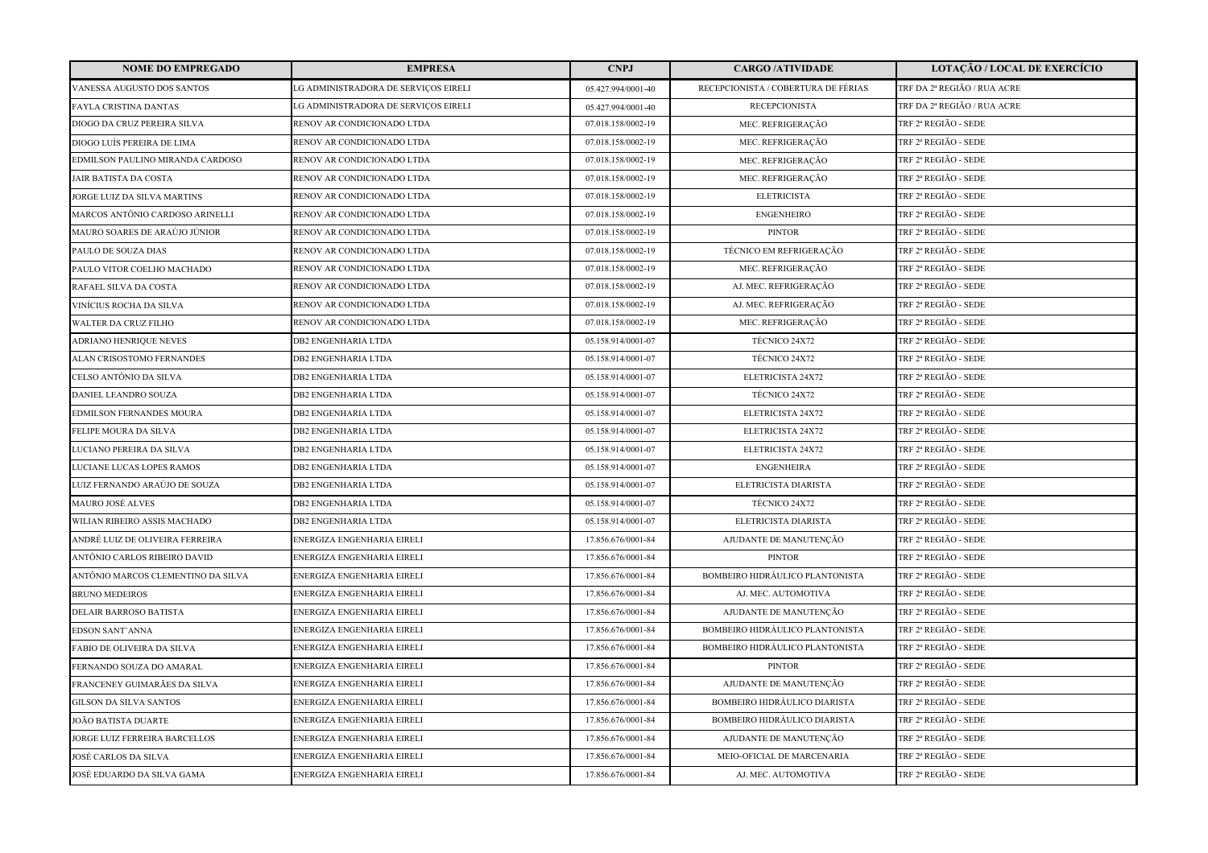| <b>NOME DO EMPREGADO</b>           | <b>EMPRESA</b>                       | <b>CNPJ</b>        | <b>CARGO /ATIVIDADE</b>                | <b>LOTAÇÃO / LOCAL DE EXERCÍCIO</b> |
|------------------------------------|--------------------------------------|--------------------|----------------------------------------|-------------------------------------|
| VANESSA AUGUSTO DOS SANTOS         | LG ADMINISTRADORA DE SERVIÇOS EIRELI | 05.427.994/0001-40 | RECEPCIONISTA / COBERTURA DE FÉRIAS    | TRF DA 2ª REGIÃO / RUA ACRE         |
| FAYLA CRISTINA DANTAS              | LG ADMINISTRADORA DE SERVIÇOS EIRELI | 05.427.994/0001-40 | <b>RECEPCIONISTA</b>                   | TRF DA 2ª REGIÃO / RUA ACRE         |
| DIOGO DA CRUZ PEREIRA SILVA        | RENOV AR CONDICIONADO LTDA           | 07.018.158/0002-19 | MEC. REFRIGERAÇÃO                      | TRF 2ª REGIÃO - SEDE                |
| DIOGO LUÍS PEREIRA DE LIMA         | RENOV AR CONDICIONADO LTDA           | 07.018.158/0002-19 | MEC. REFRIGERAÇÃO                      | TRF 2ª REGIÃO - SEDE                |
| EDMILSON PAULINO MIRANDA CARDOSO   | RENOV AR CONDICIONADO LTDA           | 07.018.158/0002-19 | MEC. REFRIGERAÇÃO                      | TRF 2ª REGIÃO - SEDE                |
| <b>JAIR BATISTA DA COSTA</b>       | RENOV AR CONDICIONADO LTDA           | 07.018.158/0002-19 | MEC. REFRIGERAÇÃO                      | TRF 2ª REGIÃO - SEDE                |
| JORGE LUIZ DA SILVA MARTINS        | RENOV AR CONDICIONADO LTDA           | 07.018.158/0002-19 | <b>ELETRICISTA</b>                     | TRF 2ª REGIÃO - SEDE                |
| MARCOS ANTÔNIO CARDOSO ARINELLI    | RENOV AR CONDICIONADO LTDA           | 07.018.158/0002-19 | <b>ENGENHEIRO</b>                      | TRF 2ª REGIÃO - SEDE                |
| MAURO SOARES DE ARAÚJO JÚNIOR      | RENOV AR CONDICIONADO LTDA           | 07.018.158/0002-19 | <b>PINTOR</b>                          | TRF 2ª REGIÃO - SEDE                |
| PAULO DE SOUZA DIAS                | RENOV AR CONDICIONADO LTDA           | 07.018.158/0002-19 | TÉCNICO EM REFRIGERAÇÃO                | TRF 2ª REGIÃO - SEDE                |
| PAULO VITOR COELHO MACHADO         | RENOV AR CONDICIONADO LTDA           | 07.018.158/0002-19 | MEC. REFRIGERAÇÃO                      | TRF 2ª REGIÃO - SEDE                |
| RAFAEL SILVA DA COSTA              | RENOV AR CONDICIONADO LTDA           | 07.018.158/0002-19 | AJ. MEC. REFRIGERAÇÃO                  | TRF 2ª REGIÃO - SEDE                |
| VINÍCIUS ROCHA DA SILVA            | RENOV AR CONDICIONADO LTDA           | 07.018.158/0002-19 | AJ. MEC. REFRIGERAÇÃO                  | TRF 2ª REGIÃO - SEDE                |
| <b>WALTER DA CRUZ FILHO</b>        | RENOV AR CONDICIONADO LTDA           | 07.018.158/0002-19 | MEC. REFRIGERAÇÃO                      | TRF 2ª REGIÃO - SEDE                |
| ADRIANO HENRIQUE NEVES             | <b>DB2 ENGENHARIA LTDA</b>           | 05.158.914/0001-07 | TÉCNICO 24X72                          | TRF 2ª REGIÃO - SEDE                |
| ALAN CRISOSTOMO FERNANDES          | <b>DB2 ENGENHARIA LTDA</b>           | 05.158.914/0001-07 | TÉCNICO 24X72                          | TRF 2ª REGIÃO - SEDE                |
| CELSO ANTÔNIO DA SILVA             | <b>DB2 ENGENHARIA LTDA</b>           | 05.158.914/0001-07 | ELETRICISTA 24X72                      | TRF 2ª REGIÃO - SEDE                |
| DANIEL LEANDRO SOUZA               | <b>DB2 ENGENHARIA LTDA</b>           | 05.158.914/0001-07 | <b>TÉCNICO 24X72</b>                   | TRF 2ª REGIÃO - SEDE                |
| EDMILSON FERNANDES MOURA           | <b>DB2 ENGENHARIA LTDA</b>           | 05.158.914/0001-07 | ELETRICISTA 24X72                      | TRF 2ª REGIÃO - SEDE                |
| FELIPE MOURA DA SILVA              | <b>DB2 ENGENHARIA LTDA</b>           | 05.158.914/0001-07 | ELETRICISTA 24X72                      | TRF 2ª REGIÃO - SEDE                |
| LUCIANO PEREIRA DA SILVA           | <b>DB2 ENGENHARIA LTDA</b>           | 05.158.914/0001-07 | ELETRICISTA 24X72                      | TRF 2ª REGIÃO - SEDE                |
| LUCIANE LUCAS LOPES RAMOS          | DB2 ENGENHARIA LTDA                  | 05.158.914/0001-07 | <b>ENGENHEIRA</b>                      | TRF 2ª REGIÃO - SEDE                |
| LUIZ FERNANDO ARAÚJO DE SOUZA      | <b>DB2 ENGENHARIA LTDA</b>           | 05.158.914/0001-07 | ELETRICISTA DIARISTA                   | TRF 2ª REGIÃO - SEDE                |
| MAURO JOSÉ ALVES                   | <b>DB2 ENGENHARIA LTDA</b>           | 05.158.914/0001-07 | TÉCNICO 24X72                          | TRF 2ª REGIÃO - SEDE                |
| WILIAN RIBEIRO ASSIS MACHADO       | <b>DB2 ENGENHARIA LTDA</b>           | 05.158.914/0001-07 | ELETRICISTA DIARISTA                   | TRF 2ª REGIÃO - SEDE                |
| ANDRÉ LUIZ DE OLIVEIRA FERREIRA    | ENERGIZA ENGENHARIA EIRELI           | 17.856.676/0001-84 | AJUDANTE DE MANUTENÇÃO                 | TRF 2ª REGIÃO - SEDE                |
| ANTÔNIO CARLOS RIBEIRO DAVID       | ENERGIZA ENGENHARIA EIRELI           | 17.856.676/0001-84 | <b>PINTOR</b>                          | TRF 2ª REGIÃO - SEDE                |
| ANTÔNIO MARCOS CLEMENTINO DA SILVA | ENERGIZA ENGENHARIA EIRELI           | 17.856.676/0001-84 | BOMBEIRO HIDRÁULICO PLANTONISTA        | TRF 2ª REGIÃO - SEDE                |
| <b>BRUNO MEDEIROS</b>              | ENERGIZA ENGENHARIA EIRELI           | 17.856.676/0001-84 | AJ. MEC. AUTOMOTIVA                    | TRF 2ª REGIÃO - SEDE                |
| DELAIR BARROSO BATISTA             | ENERGIZA ENGENHARIA EIRELI           | 17.856.676/0001-84 | AJUDANTE DE MANUTENÇÃO                 | TRF 2ª REGIÃO - SEDE                |
| <b>EDSON SANT'ANNA</b>             | ENERGIZA ENGENHARIA EIRELI           | 17.856.676/0001-84 | <b>BOMBEIRO HIDRÁULICO PLANTONISTA</b> | TRF 2ª REGIÃO - SEDE                |
| FABIO DE OLIVEIRA DA SILVA         | ENERGIZA ENGENHARIA EIRELI           | 17.856.676/0001-84 | BOMBEIRO HIDRÁULICO PLANTONISTA        | TRF 2ª REGIÃO - SEDE                |
| FERNANDO SOUZA DO AMARAL           | ENERGIZA ENGENHARIA EIRELI           | 17.856.676/0001-84 | <b>PINTOR</b>                          | TRF 2ª REGIÃO - SEDE                |
| FRANCENEY GUIMARÃES DA SILVA       | ENERGIZA ENGENHARIA EIRELI           | 17.856.676/0001-84 | AJUDANTE DE MANUTENÇÃO                 | TRF 2ª REGIÃO - SEDE                |
| <b>GILSON DA SILVA SANTOS</b>      | ENERGIZA ENGENHARIA EIRELI           | 17.856.676/0001-84 | BOMBEIRO HIDRÁULICO DIARISTA           | TRF 2ª REGIÃO - SEDE                |
| JOÃO BATISTA DUARTE                | ENERGIZA ENGENHARIA EIRELI           | 17.856.676/0001-84 | <b>BOMBEIRO HIDRÁULICO DIARISTA</b>    | TRF 2ª REGIÃO - SEDE                |
| JORGE LUIZ FERREIRA BARCELLOS      | ENERGIZA ENGENHARIA EIRELI           | 17.856.676/0001-84 | AJUDANTE DE MANUTENÇÃO                 | TRF 2ª REGIÃO - SEDE                |
| JOSÉ CARLOS DA SILVA               | ENERGIZA ENGENHARIA EIRELI           | 17.856.676/0001-84 | MEIO-OFICIAL DE MARCENARIA             | TRF 2ª REGIÃO - SEDE                |
| JOSÉ EDUARDO DA SILVA GAMA         | ENERGIZA ENGENHARIA EIRELI           | 17.856.676/0001-84 | AJ. MEC. AUTOMOTIVA                    | TRF 2ª REGIÃO - SEDE                |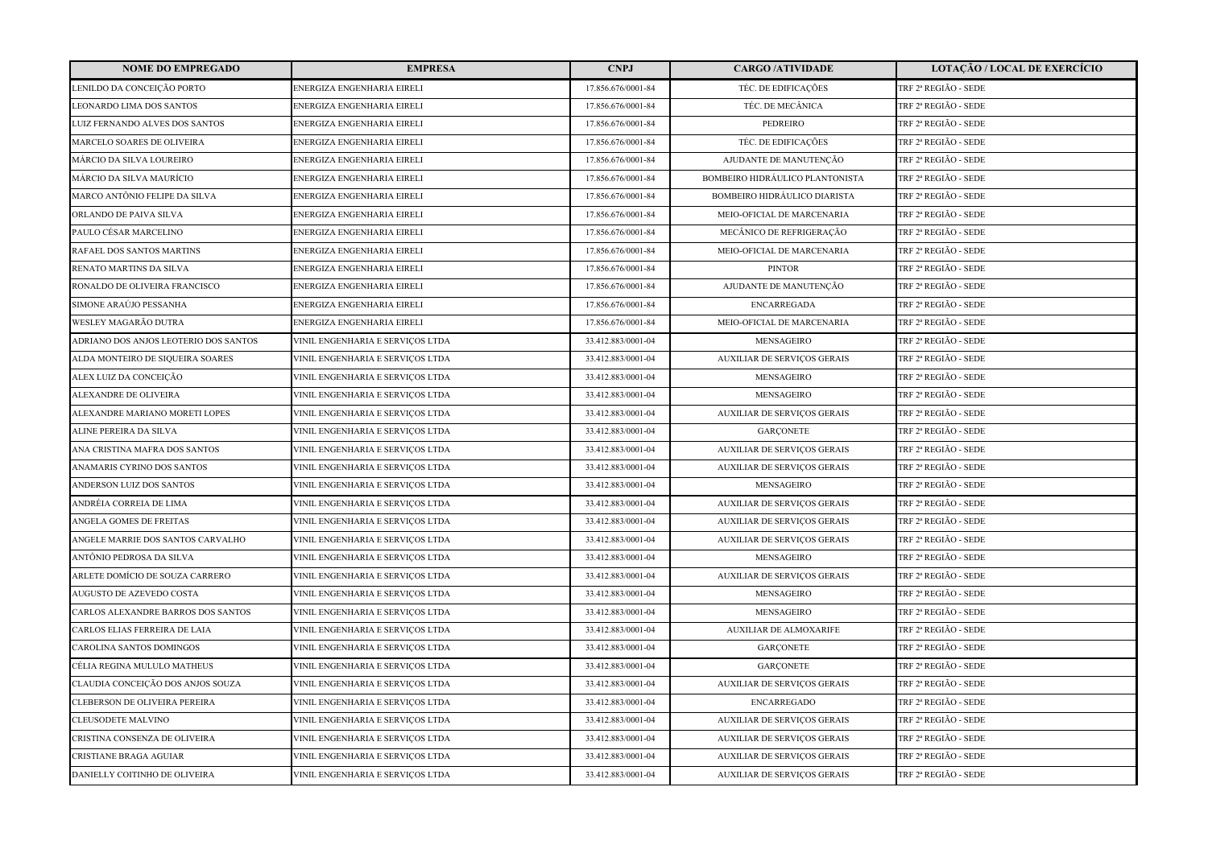| <b>NOME DO EMPREGADO</b>              | <b>EMPRESA</b>                   | <b>CNPJ</b>        | <b>CARGO /ATIVIDADE</b>             | <b>LOTAÇÃO / LOCAL DE EXERCÍCIO</b> |
|---------------------------------------|----------------------------------|--------------------|-------------------------------------|-------------------------------------|
| LENILDO DA CONCEIÇÃO PORTO            | ENERGIZA ENGENHARIA EIRELI       | 17.856.676/0001-84 | TÉC. DE EDIFICAÇÕES                 | TRF 2ª REGIÃO - SEDE                |
| LEONARDO LIMA DOS SANTOS              | ENERGIZA ENGENHARIA EIRELI       | 17.856.676/0001-84 | TÉC. DE MECÂNICA                    | TRF 2ª REGIÃO - SEDE                |
| LUIZ FERNANDO ALVES DOS SANTOS        | ENERGIZA ENGENHARIA EIRELI       | 17.856.676/0001-84 | PEDREIRO                            | TRF 2ª REGIÃO - SEDE                |
| MARCELO SOARES DE OLIVEIRA            | ENERGIZA ENGENHARIA EIRELI       | 17.856.676/0001-84 | TÉC. DE EDIFICAÇÕES                 | TRF 2ª REGIÃO - SEDE                |
| MÁRCIO DA SILVA LOUREIRO              | ENERGIZA ENGENHARIA EIRELI       | 17.856.676/0001-84 | AJUDANTE DE MANUTENÇÃO              | TRF 2ª REGIÃO - SEDE                |
| MÁRCIO DA SILVA MAURÍCIO              | ENERGIZA ENGENHARIA EIRELI       | 17.856.676/0001-84 | BOMBEIRO HIDRÁULICO PLANTONISTA     | TRF 2ª REGIÃO - SEDE                |
| MARCO ANTÔNIO FELIPE DA SILVA         | ENERGIZA ENGENHARIA EIRELI       | 17.856.676/0001-84 | <b>BOMBEIRO HIDRÁULICO DIARISTA</b> | TRF 2ª REGIÃO - SEDE                |
| ORLANDO DE PAIVA SILVA                | ENERGIZA ENGENHARIA EIRELI       | 17.856.676/0001-84 | MEIO-OFICIAL DE MARCENARIA          | TRF 2ª REGIÃO - SEDE                |
| PAULO CÉSAR MARCELINO                 | ENERGIZA ENGENHARIA EIRELI       | 17.856.676/0001-84 | MECÂNICO DE REFRIGERAÇÃO            | TRF 2ª REGIÃO - SEDE                |
| RAFAEL DOS SANTOS MARTINS             | ENERGIZA ENGENHARIA EIRELI       | 17.856.676/0001-84 | MEIO-OFICIAL DE MARCENARIA          | TRF 2ª REGIÃO - SEDE                |
| RENATO MARTINS DA SILVA               | ENERGIZA ENGENHARIA EIRELI       | 17.856.676/0001-84 | <b>PINTOR</b>                       | TRF 2ª REGIÃO - SEDE                |
| RONALDO DE OLIVEIRA FRANCISCO         | ENERGIZA ENGENHARIA EIRELI       | 17.856.676/0001-84 | AJUDANTE DE MANUTENÇÃO              | TRF 2ª REGIÃO - SEDE                |
| SIMONE ARAÚJO PESSANHA                | ENERGIZA ENGENHARIA EIRELI       | 17.856.676/0001-84 | <b>ENCARREGADA</b>                  | TRF 2ª REGIÃO - SEDE                |
| WESLEY MAGARÃO DUTRA                  | ENERGIZA ENGENHARIA EIRELI       | 17.856.676/0001-84 | MEIO-OFICIAL DE MARCENARIA          | TRF 2ª REGIÃO - SEDE                |
| ADRIANO DOS ANJOS LEOTERIO DOS SANTOS | VINIL ENGENHARIA E SERVIÇOS LTDA | 33.412.883/0001-04 | MENSAGEIRO                          | TRF 2ª REGIÃO - SEDE                |
| ALDA MONTEIRO DE SIQUEIRA SOARES      | VINIL ENGENHARIA E SERVIÇOS LTDA | 33.412.883/0001-04 | <b>AUXILIAR DE SERVIÇOS GERAIS</b>  | TRF 2ª REGIÃO - SEDE                |
| ALEX LUIZ DA CONCEIÇÃO                | VINIL ENGENHARIA E SERVIÇOS LTDA | 33.412.883/0001-04 | <b>MENSAGEIRO</b>                   | TRF 2ª REGIÃO - SEDE                |
| ALEXANDRE DE OLIVEIRA                 | VINIL ENGENHARIA E SERVIÇOS LTDA | 33.412.883/0001-04 | MENSAGEIRO                          | TRF 2ª REGIÃO - SEDE                |
| ALEXANDRE MARIANO MORETI LOPES        | VINIL ENGENHARIA E SERVIÇOS LTDA | 33.412.883/0001-04 | <b>AUXILIAR DE SERVIÇOS GERAIS</b>  | TRF 2ª REGIÃO - SEDE                |
| ALINE PEREIRA DA SILVA                | VINIL ENGENHARIA E SERVIÇOS LTDA | 33.412.883/0001-04 | <b>GARCONETE</b>                    | TRF 2ª REGIÃO - SEDE                |
| ANA CRISTINA MAFRA DOS SANTOS         | VINIL ENGENHARIA E SERVIÇOS LTDA | 33.412.883/0001-04 | <b>AUXILIAR DE SERVIÇOS GERAIS</b>  | TRF 2ª REGIÃO - SEDE                |
| ANAMARIS CYRINO DOS SANTOS            | VINIL ENGENHARIA E SERVIÇOS LTDA | 33.412.883/0001-04 | <b>AUXILIAR DE SERVIÇOS GERAIS</b>  | TRF 2ª REGIÃO - SEDE                |
| ANDERSON LUIZ DOS SANTOS              | VINIL ENGENHARIA E SERVIÇOS LTDA | 33.412.883/0001-04 | MENSAGEIRO                          | TRF 2ª REGIÃO - SEDE                |
| ANDRÉIA CORREIA DE LIMA               | VINIL ENGENHARIA E SERVIÇOS LTDA | 33.412.883/0001-04 | <b>AUXILIAR DE SERVIÇOS GERAIS</b>  | TRF 2ª REGIÃO - SEDE                |
| ANGELA GOMES DE FREITAS               | VINIL ENGENHARIA E SERVIÇOS LTDA | 33.412.883/0001-04 | <b>AUXILIAR DE SERVIÇOS GERAIS</b>  | TRF 2ª REGIÃO - SEDE                |
| ANGELE MARRIE DOS SANTOS CARVALHO     | VINIL ENGENHARIA E SERVIÇOS LTDA | 33.412.883/0001-04 | <b>AUXILIAR DE SERVIÇOS GERAIS</b>  | TRF 2ª REGIÃO - SEDE                |
| ANTÔNIO PEDROSA DA SILVA              | VINIL ENGENHARIA E SERVIÇOS LTDA | 33.412.883/0001-04 | MENSAGEIRO                          | TRF 2ª REGIÃO - SEDE                |
| ARLETE DOMÍCIO DE SOUZA CARRERO       | VINIL ENGENHARIA E SERVIÇOS LTDA | 33.412.883/0001-04 | AUXILIAR DE SERVIÇOS GERAIS         | TRF 2ª REGIÃO - SEDE                |
| AUGUSTO DE AZEVEDO COSTA              | VINIL ENGENHARIA E SERVIÇOS LTDA | 33.412.883/0001-04 | MENSAGEIRO                          | TRF 2ª REGIÃO - SEDE                |
| CARLOS ALEXANDRE BARROS DOS SANTOS    | VINIL ENGENHARIA E SERVIÇOS LTDA | 33.412.883/0001-04 | MENSAGEIRO                          | TRF 2ª REGIÃO - SEDE                |
| CARLOS ELIAS FERREIRA DE LAIA         | VINIL ENGENHARIA E SERVIÇOS LTDA | 33.412.883/0001-04 | <b>AUXILIAR DE ALMOXARIFE</b>       | TRF 2ª REGIÃO - SEDE                |
| CAROLINA SANTOS DOMINGOS              | VINIL ENGENHARIA E SERVIÇOS LTDA | 33.412.883/0001-04 | <b>GARCONETE</b>                    | TRF 2ª REGIÃO - SEDE                |
| CÉLIA REGINA MULULO MATHEUS           | VINIL ENGENHARIA E SERVIÇOS LTDA | 33.412.883/0001-04 | <b>GARCONETE</b>                    | TRF 2ª REGIÃO - SEDE                |
| CLAUDIA CONCEIÇÃO DOS ANJOS SOUZA     | VINIL ENGENHARIA E SERVIÇOS LTDA | 33.412.883/0001-04 | <b>AUXILIAR DE SERVIÇOS GERAIS</b>  | TRF 2ª REGIÃO - SEDE                |
| CLEBERSON DE OLIVEIRA PEREIRA         | VINIL ENGENHARIA E SERVIÇOS LTDA | 33.412.883/0001-04 | <b>ENCARREGADO</b>                  | TRF 2ª REGIÃO - SEDE                |
| <b>CLEUSODETE MALVINO</b>             | VINIL ENGENHARIA E SERVIÇOS LTDA | 33.412.883/0001-04 | <b>AUXILIAR DE SERVIÇOS GERAIS</b>  | TRF 2ª REGIÃO - SEDE                |
| CRISTINA CONSENZA DE OLIVEIRA         | VINIL ENGENHARIA E SERVIÇOS LTDA | 33.412.883/0001-04 | AUXILIAR DE SERVIÇOS GERAIS         | TRF 2ª REGIÃO - SEDE                |
| CRISTIANE BRAGA AGUIAR                | VINIL ENGENHARIA E SERVIÇOS LTDA | 33.412.883/0001-04 | <b>AUXILIAR DE SERVIÇOS GERAIS</b>  | TRF 2ª REGIÃO - SEDE                |
| DANIELLY COITINHO DE OLIVEIRA         | VINIL ENGENHARIA E SERVIÇOS LTDA | 33.412.883/0001-04 | <b>AUXILIAR DE SERVICOS GERAIS</b>  | TRF 2ª REGIÃO - SEDE                |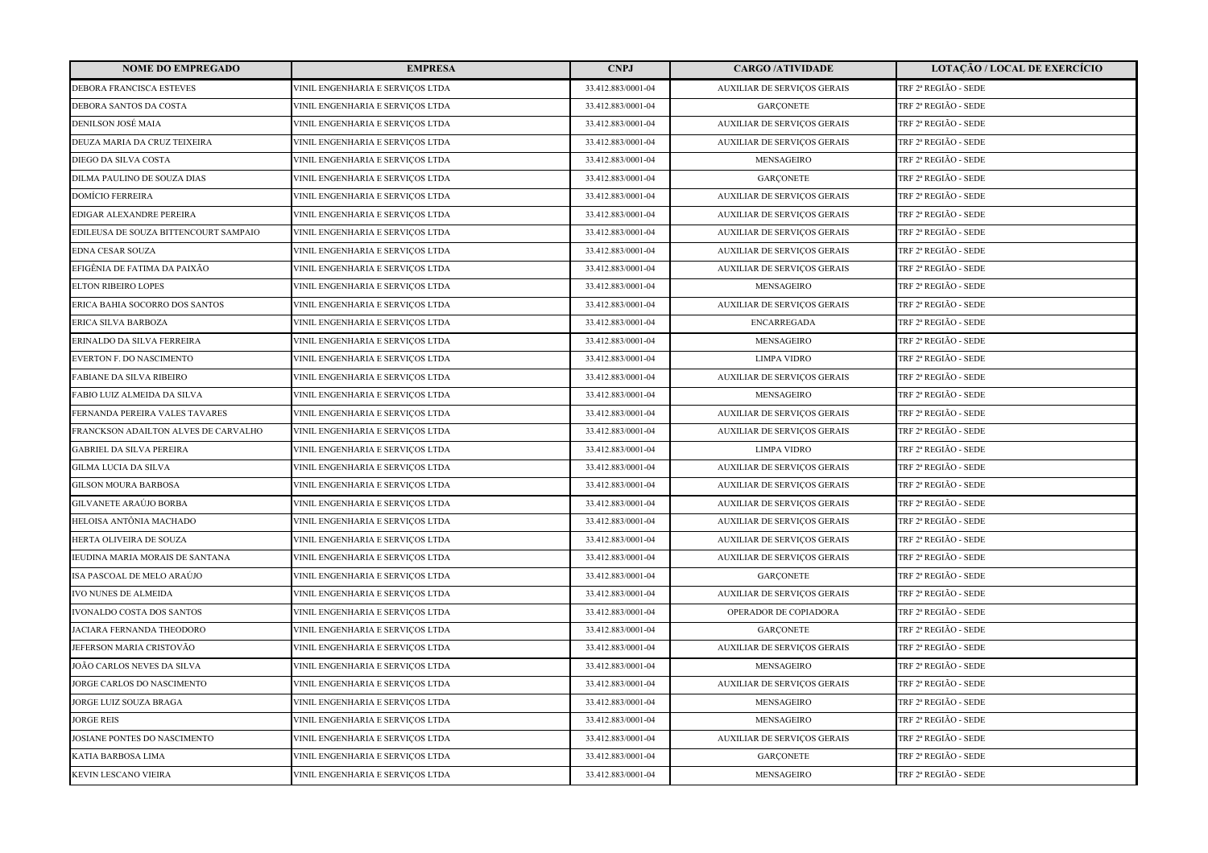| <b>NOME DO EMPREGADO</b>              | <b>EMPRESA</b>                   | <b>CNPJ</b>        | <b>CARGO /ATIVIDADE</b>            | <b>LOTAÇÃO / LOCAL DE EXERCÍCIO</b> |
|---------------------------------------|----------------------------------|--------------------|------------------------------------|-------------------------------------|
| DEBORA FRANCISCA ESTEVES              | VINIL ENGENHARIA E SERVICOS LTDA | 33.412.883/0001-04 | <b>AUXILIAR DE SERVIÇOS GERAIS</b> | TRF 2ª REGIÃO - SEDE                |
| DEBORA SANTOS DA COSTA                | VINIL ENGENHARIA E SERVIÇOS LTDA | 33.412.883/0001-04 | <b>GARCONETE</b>                   | TRF 2ª REGIÃO - SEDE                |
| DENILSON JOSÉ MAIA                    | VINIL ENGENHARIA E SERVIÇOS LTDA | 33.412.883/0001-04 | <b>AUXILIAR DE SERVIÇOS GERAIS</b> | TRF 2ª REGIÃO - SEDE                |
| DEUZA MARIA DA CRUZ TEIXEIRA          | VINIL ENGENHARIA E SERVIÇOS LTDA | 33.412.883/0001-04 | AUXILIAR DE SERVIÇOS GERAIS        | TRF 2ª REGIÃO - SEDE                |
| DIEGO DA SILVA COSTA                  | VINIL ENGENHARIA E SERVIÇOS LTDA | 33.412.883/0001-04 | MENSAGEIRO                         | TRF 2ª REGIÃO - SEDE                |
| DILMA PAULINO DE SOUZA DIAS           | VINIL ENGENHARIA E SERVIÇOS LTDA | 33.412.883/0001-04 | <b>GARCONETE</b>                   | TRF 2ª REGIÃO - SEDE                |
| DOMÍCIO FERREIRA                      | VINIL ENGENHARIA E SERVIÇOS LTDA | 33.412.883/0001-04 | <b>AUXILIAR DE SERVIÇOS GERAIS</b> | TRF 2ª REGIÃO - SEDE                |
| EDIGAR ALEXANDRE PEREIRA              | VINIL ENGENHARIA E SERVIÇOS LTDA | 33.412.883/0001-04 | AUXILIAR DE SERVIÇOS GERAIS        | TRF 2ª REGIÃO - SEDE                |
| EDILEUSA DE SOUZA BITTENCOURT SAMPAIO | VINIL ENGENHARIA E SERVIÇOS LTDA | 33.412.883/0001-04 | <b>AUXILIAR DE SERVIÇOS GERAIS</b> | TRF 2ª REGIÃO - SEDE                |
| EDNA CESAR SOUZA                      | VINIL ENGENHARIA E SERVICOS LTDA | 33.412.883/0001-04 | <b>AUXILIAR DE SERVIÇOS GERAIS</b> | TRF 2ª REGIÃO - SEDE                |
| EFIGÊNIA DE FATIMA DA PAIXÃO          | VINIL ENGENHARIA E SERVIÇOS LTDA | 33.412.883/0001-04 | AUXILIAR DE SERVIÇOS GERAIS        | TRF 2ª REGIÃO - SEDE                |
| ELTON RIBEIRO LOPES                   | VINIL ENGENHARIA E SERVIÇOS LTDA | 33.412.883/0001-04 | MENSAGEIRO                         | TRF 2ª REGIÃO - SEDE                |
| ERICA BAHIA SOCORRO DOS SANTOS        | VINIL ENGENHARIA E SERVIÇOS LTDA | 33.412.883/0001-04 | AUXILIAR DE SERVIÇOS GERAIS        | TRF 2ª REGIÃO - SEDE                |
| ERICA SILVA BARBOZA                   | VINIL ENGENHARIA E SERVIÇOS LTDA | 33.412.883/0001-04 | <b>ENCARREGADA</b>                 | TRF 2ª REGIÃO - SEDE                |
| ERINALDO DA SILVA FERREIRA            | VINIL ENGENHARIA E SERVIÇOS LTDA | 33.412.883/0001-04 | MENSAGEIRO                         | TRF 2ª REGIÃO - SEDE                |
| EVERTON F. DO NASCIMENTO              | VINIL ENGENHARIA E SERVIÇOS LTDA | 33.412.883/0001-04 | <b>LIMPA VIDRO</b>                 | TRF 2ª REGIÃO - SEDE                |
| FABIANE DA SILVA RIBEIRO              | VINIL ENGENHARIA E SERVIÇOS LTDA | 33.412.883/0001-04 | <b>AUXILIAR DE SERVIÇOS GERAIS</b> | TRF 2ª REGIÃO - SEDE                |
| FABIO LUIZ ALMEIDA DA SILVA           | VINIL ENGENHARIA E SERVICOS LTDA | 33.412.883/0001-04 | MENSAGEIRO                         | TRF 2ª REGIÃO - SEDE                |
| FERNANDA PEREIRA VALES TAVARES        | VINIL ENGENHARIA E SERVIÇOS LTDA | 33.412.883/0001-04 | <b>AUXILIAR DE SERVIÇOS GERAIS</b> | TRF 2ª REGIÃO - SEDE                |
| FRANCKSON ADAILTON ALVES DE CARVALHO  | VINIL ENGENHARIA E SERVIÇOS LTDA | 33.412.883/0001-04 | <b>AUXILIAR DE SERVIÇOS GERAIS</b> | TRF 2ª REGIÃO - SEDE                |
| <b>GABRIEL DA SILVA PEREIRA</b>       | VINIL ENGENHARIA E SERVICOS LTDA | 33.412.883/0001-04 | <b>LIMPA VIDRO</b>                 | TRF 2ª REGIÃO - SEDE                |
| GILMA LUCIA DA SILVA                  | VINIL ENGENHARIA E SERVIÇOS LTDA | 33.412.883/0001-04 | <b>AUXILIAR DE SERVIÇOS GERAIS</b> | TRF 2ª REGIÃO - SEDE                |
| GILSON MOURA BARBOSA                  | VINIL ENGENHARIA E SERVIÇOS LTDA | 33.412.883/0001-04 | <b>AUXILIAR DE SERVIÇOS GERAIS</b> | TRF 2ª REGIÃO - SEDE                |
| GILVANETE ARAÚJO BORBA                | VINIL ENGENHARIA E SERVIÇOS LTDA | 33.412.883/0001-04 | <b>AUXILIAR DE SERVIÇOS GERAIS</b> | TRF 2ª REGIÃO - SEDE                |
| HELOISA ANTÔNIA MACHADO               | VINIL ENGENHARIA E SERVIÇOS LTDA | 33.412.883/0001-04 | <b>AUXILIAR DE SERVIÇOS GERAIS</b> | TRF 2ª REGIÃO - SEDE                |
| HERTA OLIVEIRA DE SOUZA               | VINIL ENGENHARIA E SERVIÇOS LTDA | 33.412.883/0001-04 | <b>AUXILIAR DE SERVIÇOS GERAIS</b> | TRF 2ª REGIÃO - SEDE                |
| IEUDINA MARIA MORAIS DE SANTANA       | VINIL ENGENHARIA E SERVIÇOS LTDA | 33.412.883/0001-04 | <b>AUXILIAR DE SERVIÇOS GERAIS</b> | TRF 2ª REGIÃO - SEDE                |
| ISA PASCOAL DE MELO ARAÚJO            | VINIL ENGENHARIA E SERVIÇOS LTDA | 33.412.883/0001-04 | <b>GARCONETE</b>                   | TRF 2ª REGIÃO - SEDE                |
| <b>IVO NUNES DE ALMEIDA</b>           | VINIL ENGENHARIA E SERVICOS LTDA | 33.412.883/0001-04 | <b>AUXILIAR DE SERVIÇOS GERAIS</b> | TRF 2ª REGIÃO - SEDE                |
| IVONALDO COSTA DOS SANTOS             | VINIL ENGENHARIA E SERVIÇOS LTDA | 33.412.883/0001-04 | OPERADOR DE COPIADORA              | TRF 2ª REGIÃO - SEDE                |
| JACIARA FERNANDA THEODORO             | VINIL ENGENHARIA E SERVIÇOS LTDA | 33.412.883/0001-04 | <b>GARCONETE</b>                   | TRF 2ª REGIÃO - SEDE                |
| JEFERSON MARIA CRISTOVÃO              | VINIL ENGENHARIA E SERVIÇOS LTDA | 33.412.883/0001-04 | <b>AUXILIAR DE SERVIÇOS GERAIS</b> | TRF 2ª REGIÃO - SEDE                |
| JOÃO CARLOS NEVES DA SILVA            | VINIL ENGENHARIA E SERVIÇOS LTDA | 33.412.883/0001-04 | MENSAGEIRO                         | TRF 2ª REGIÃO - SEDE                |
| <b>JORGE CARLOS DO NASCIMENTO</b>     | VINIL ENGENHARIA E SERVICOS LTDA | 33.412.883/0001-04 | <b>AUXILIAR DE SERVIÇOS GERAIS</b> | TRF 2ª REGIÃO - SEDE                |
| JORGE LUIZ SOUZA BRAGA                | VINIL ENGENHARIA E SERVIÇOS LTDA | 33.412.883/0001-04 | <b>MENSAGEIRO</b>                  | TRF 2ª REGIÃO - SEDE                |
| <b>JORGE REIS</b>                     | VINIL ENGENHARIA E SERVIÇOS LTDA | 33.412.883/0001-04 | MENSAGEIRO                         | TRF 2ª REGIÃO - SEDE                |
| JOSIANE PONTES DO NASCIMENTO          | VINIL ENGENHARIA E SERVIÇOS LTDA | 33.412.883/0001-04 | AUXILIAR DE SERVIÇOS GERAIS        | TRF 2ª REGIÃO - SEDE                |
| KATIA BARBOSA LIMA                    | VINIL ENGENHARIA E SERVIÇOS LTDA | 33.412.883/0001-04 | <b>GARCONETE</b>                   | TRF 2ª REGIÃO - SEDE                |
| KEVIN LESCANO VIEIRA                  | VINIL ENGENHARIA E SERVIÇOS LTDA | 33.412.883/0001-04 | <b>MENSAGEIRO</b>                  | TRF 2ª REGIÃO - SEDE                |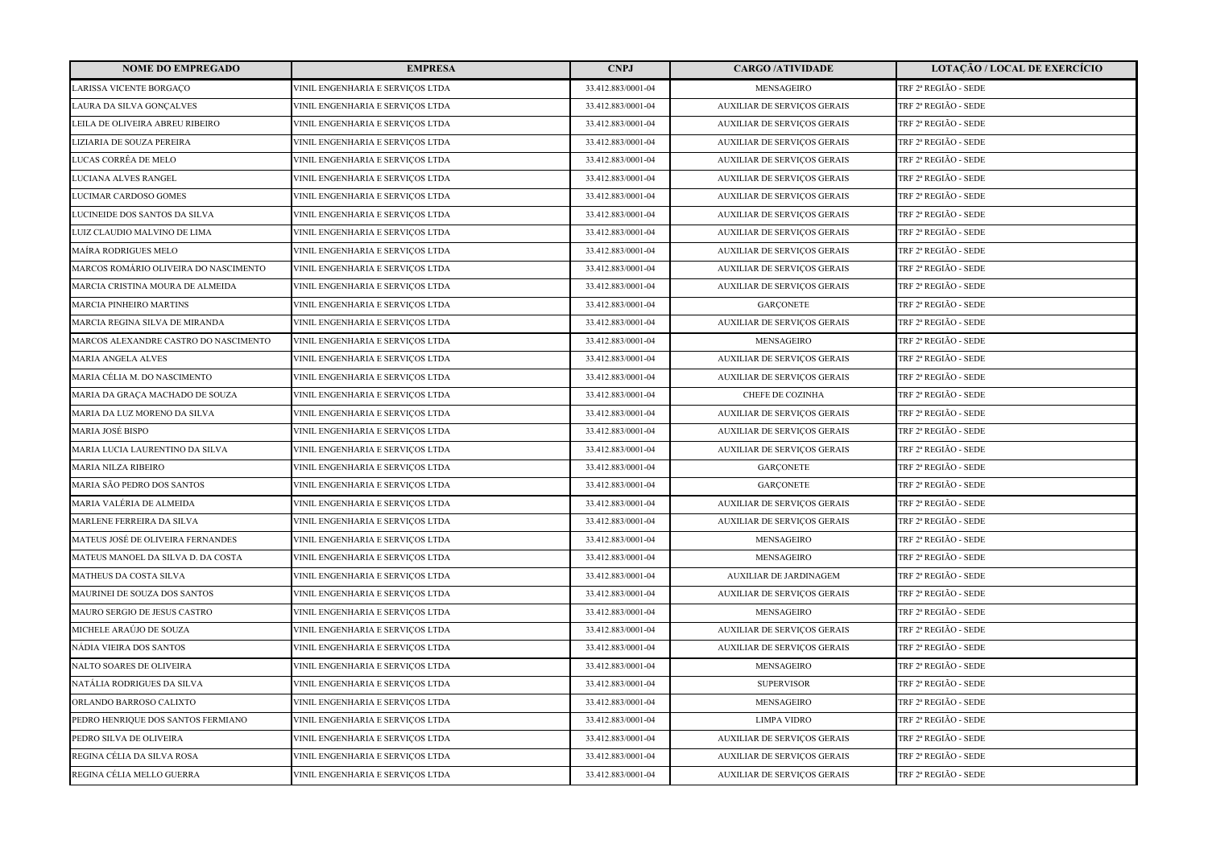| <b>NOME DO EMPREGADO</b>              | <b>EMPRESA</b>                   | <b>CNPJ</b>        | <b>CARGO /ATIVIDADE</b>            | LOTAÇÃO / LOCAL DE EXERCÍCIO |
|---------------------------------------|----------------------------------|--------------------|------------------------------------|------------------------------|
| LARISSA VICENTE BORGACO               | VINIL ENGENHARIA E SERVIÇOS LTDA | 33.412.883/0001-04 | MENSAGEIRO                         | TRF 2ª REGIÃO - SEDE         |
| LAURA DA SILVA GONÇALVES              | VINIL ENGENHARIA E SERVIÇOS LTDA | 33.412.883/0001-04 | <b>AUXILIAR DE SERVIÇOS GERAIS</b> | TRF 2ª REGIÃO - SEDE         |
| LEILA DE OLIVEIRA ABREU RIBEIRO       | VINIL ENGENHARIA E SERVIÇOS LTDA | 33.412.883/0001-04 | <b>AUXILIAR DE SERVIÇOS GERAIS</b> | TRF 2ª REGIÃO - SEDE         |
| LIZIARIA DE SOUZA PEREIRA             | VINIL ENGENHARIA E SERVIÇOS LTDA | 33.412.883/0001-04 | AUXILIAR DE SERVIÇOS GERAIS        | TRF 2ª REGIÃO - SEDE         |
| LUCAS CORRÊA DE MELO                  | VINIL ENGENHARIA E SERVIÇOS LTDA | 33.412.883/0001-04 | AUXILIAR DE SERVIÇOS GERAIS        | TRF 2ª REGIÃO - SEDE         |
| LUCIANA ALVES RANGEL                  | VINIL ENGENHARIA E SERVIÇOS LTDA | 33.412.883/0001-04 | <b>AUXILIAR DE SERVIÇOS GERAIS</b> | TRF 2ª REGIÃO - SEDE         |
| LUCIMAR CARDOSO GOMES                 | VINIL ENGENHARIA E SERVIÇOS LTDA | 33.412.883/0001-04 | <b>AUXILIAR DE SERVIÇOS GERAIS</b> | TRF 2ª REGIÃO - SEDE         |
| LUCINEIDE DOS SANTOS DA SILVA         | VINIL ENGENHARIA E SERVIÇOS LTDA | 33.412.883/0001-04 | AUXILIAR DE SERVIÇOS GERAIS        | TRF 2ª REGIÃO - SEDE         |
| LUIZ CLAUDIO MALVINO DE LIMA          | VINIL ENGENHARIA E SERVIÇOS LTDA | 33.412.883/0001-04 | <b>AUXILIAR DE SERVIÇOS GERAIS</b> | TRF 2ª REGIÃO - SEDE         |
| MAÍRA RODRIGUES MELO                  | VINIL ENGENHARIA E SERVIÇOS LTDA | 33.412.883/0001-04 | <b>AUXILIAR DE SERVIÇOS GERAIS</b> | TRF 2ª REGIÃO - SEDE         |
| MARCOS ROMÁRIO OLIVEIRA DO NASCIMENTO | VINIL ENGENHARIA E SERVIÇOS LTDA | 33.412.883/0001-04 | <b>AUXILIAR DE SERVIÇOS GERAIS</b> | TRF 2ª REGIÃO - SEDE         |
| MARCIA CRISTINA MOURA DE ALMEIDA      | VINIL ENGENHARIA E SERVIÇOS LTDA | 33.412.883/0001-04 | AUXILIAR DE SERVIÇOS GERAIS        | TRF 2ª REGIÃO - SEDE         |
| <b>MARCIA PINHEIRO MARTINS</b>        | VINIL ENGENHARIA E SERVICOS LTDA | 33.412.883/0001-04 | <b>GARÇONETE</b>                   | TRF 2ª REGIÃO - SEDE         |
| MARCIA REGINA SILVA DE MIRANDA        | VINIL ENGENHARIA E SERVIÇOS LTDA | 33.412.883/0001-04 | <b>AUXILIAR DE SERVIÇOS GERAIS</b> | TRF 2ª REGIÃO - SEDE         |
| MARCOS ALEXANDRE CASTRO DO NASCIMENTO | VINIL ENGENHARIA E SERVIÇOS LTDA | 33.412.883/0001-04 | MENSAGEIRO                         | TRF 2ª REGIÃO - SEDE         |
| <b>MARIA ANGELA ALVES</b>             | VINIL ENGENHARIA E SERVIÇOS LTDA | 33.412.883/0001-04 | <b>AUXILIAR DE SERVIÇOS GERAIS</b> | TRF 2ª REGIÃO - SEDE         |
| MARIA CÉLIA M. DO NASCIMENTO          | VINIL ENGENHARIA E SERVIÇOS LTDA | 33.412.883/0001-04 | <b>AUXILIAR DE SERVIÇOS GERAIS</b> | TRF 2ª REGIÃO - SEDE         |
| MARIA DA GRAÇA MACHADO DE SOUZA       | VINIL ENGENHARIA E SERVIÇOS LTDA | 33.412.883/0001-04 | CHEFE DE COZINHA                   | TRF 2ª REGIÃO - SEDE         |
| MARIA DA LUZ MORENO DA SILVA          | VINIL ENGENHARIA E SERVIÇOS LTDA | 33.412.883/0001-04 | <b>AUXILIAR DE SERVIÇOS GERAIS</b> | TRF 2ª REGIÃO - SEDE         |
| MARIA JOSÉ BISPO                      | VINIL ENGENHARIA E SERVIÇOS LTDA | 33.412.883/0001-04 | <b>AUXILIAR DE SERVIÇOS GERAIS</b> | TRF 2ª REGIÃO - SEDE         |
| MARIA LUCIA LAURENTINO DA SILVA       | VINIL ENGENHARIA E SERVIÇOS LTDA | 33.412.883/0001-04 | <b>AUXILIAR DE SERVIÇOS GERAIS</b> | TRF 2ª REGIÃO - SEDE         |
| <b>MARIA NILZA RIBEIRO</b>            | VINIL ENGENHARIA E SERVIÇOS LTDA | 33.412.883/0001-04 | <b>GARCONETE</b>                   | TRF 2ª REGIÃO - SEDE         |
| MARIA SÃO PEDRO DOS SANTOS            | VINIL ENGENHARIA E SERVIÇOS LTDA | 33.412.883/0001-04 | <b>GARCONETE</b>                   | TRF 2ª REGIÃO - SEDE         |
| MARIA VALÉRIA DE ALMEIDA              | VINIL ENGENHARIA E SERVIÇOS LTDA | 33.412.883/0001-04 | <b>AUXILIAR DE SERVIÇOS GERAIS</b> | TRF 2ª REGIÃO - SEDE         |
| MARLENE FERREIRA DA SILVA             | VINIL ENGENHARIA E SERVIÇOS LTDA | 33.412.883/0001-04 | <b>AUXILIAR DE SERVIÇOS GERAIS</b> | TRF 2ª REGIÃO - SEDE         |
| MATEUS JOSÉ DE OLIVEIRA FERNANDES     | VINIL ENGENHARIA E SERVIÇOS LTDA | 33.412.883/0001-04 | MENSAGEIRO                         | TRF 2ª REGIÃO - SEDE         |
| MATEUS MANOEL DA SILVA D. DA COSTA    | VINIL ENGENHARIA E SERVIÇOS LTDA | 33.412.883/0001-04 | MENSAGEIRO                         | TRF 2ª REGIÃO - SEDE         |
| MATHEUS DA COSTA SILVA                | VINIL ENGENHARIA E SERVIÇOS LTDA | 33.412.883/0001-04 | AUXILIAR DE JARDINAGEM             | TRF 2ª REGIÃO - SEDE         |
| MAURINEI DE SOUZA DOS SANTOS          | VINIL ENGENHARIA E SERVIÇOS LTDA | 33.412.883/0001-04 | <b>AUXILIAR DE SERVICOS GERAIS</b> | TRF 2ª REGIÃO - SEDE         |
| MAURO SERGIO DE JESUS CASTRO          | VINIL ENGENHARIA E SERVIÇOS LTDA | 33.412.883/0001-04 | MENSAGEIRO                         | TRF 2ª REGIÃO - SEDE         |
| MICHELE ARAÚJO DE SOUZA               | VINIL ENGENHARIA E SERVIÇOS LTDA | 33.412.883/0001-04 | <b>AUXILIAR DE SERVIÇOS GERAIS</b> | TRF 2ª REGIÃO - SEDE         |
| NÁDIA VIEIRA DOS SANTOS               | VINIL ENGENHARIA E SERVIÇOS LTDA | 33.412.883/0001-04 | <b>AUXILIAR DE SERVIÇOS GERAIS</b> | TRF 2ª REGIÃO - SEDE         |
| NALTO SOARES DE OLIVEIRA              | VINIL ENGENHARIA E SERVIÇOS LTDA | 33.412.883/0001-04 | MENSAGEIRO                         | TRF 2ª REGIÃO - SEDE         |
| NATÁLIA RODRIGUES DA SILVA            | VINIL ENGENHARIA E SERVIÇOS LTDA | 33.412.883/0001-04 | <b>SUPERVISOR</b>                  | TRF 2ª REGIÃO - SEDE         |
| ORLANDO BARROSO CALIXTO               | VINIL ENGENHARIA E SERVIÇOS LTDA | 33.412.883/0001-04 | MENSAGEIRO                         | TRF 2ª REGIÃO - SEDE         |
| PEDRO HENRIQUE DOS SANTOS FERMIANO    | VINIL ENGENHARIA E SERVIÇOS LTDA | 33.412.883/0001-04 | <b>LIMPA VIDRO</b>                 | TRF 2ª REGIÃO - SEDE         |
| PEDRO SILVA DE OLIVEIRA               | VINIL ENGENHARIA E SERVIÇOS LTDA | 33.412.883/0001-04 | <b>AUXILIAR DE SERVIÇOS GERAIS</b> | TRF 2ª REGIÃO - SEDE         |
| REGINA CÉLIA DA SILVA ROSA            | VINIL ENGENHARIA E SERVICOS LTDA | 33.412.883/0001-04 | <b>AUXILIAR DE SERVIÇOS GERAIS</b> | TRF 2ª REGIÃO - SEDE         |
| REGINA CÉLIA MELLO GUERRA             | VINIL ENGENHARIA E SERVIÇOS LTDA | 33.412.883/0001-04 | <b>AUXILIAR DE SERVICOS GERAIS</b> | TRF 2ª REGIÃO - SEDE         |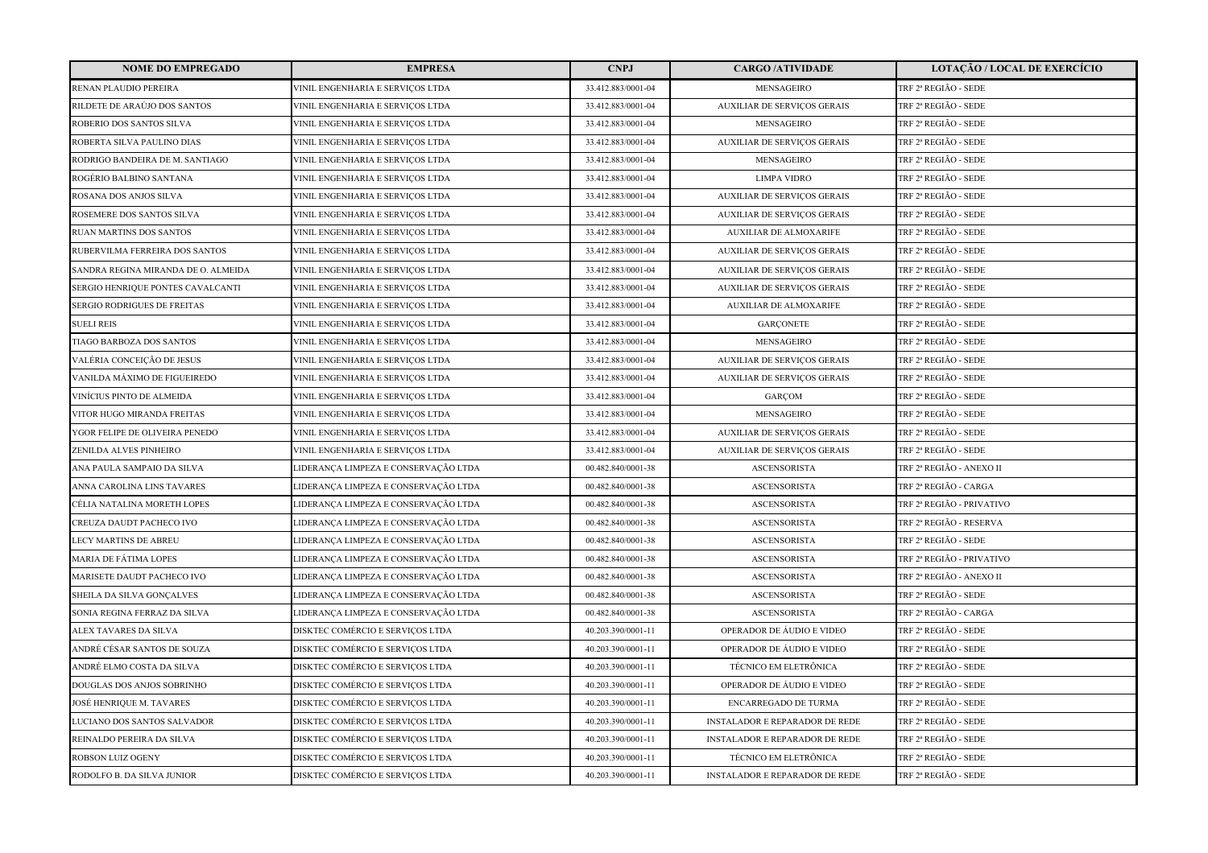| <b>NOME DO EMPREGADO</b>            | <b>EMPRESA</b>                       | <b>CNPJ</b>        | <b>CARGO /ATIVIDADE</b>               | <b>LOTAÇÃO / LOCAL DE EXERCÍCIO</b> |
|-------------------------------------|--------------------------------------|--------------------|---------------------------------------|-------------------------------------|
| RENAN PLAUDIO PEREIRA               | VINIL ENGENHARIA E SERVICOS LTDA     | 33.412.883/0001-04 | <b>MENSAGEIRO</b>                     | TRF 2ª REGIÃO - SEDE                |
| RILDETE DE ARAÚJO DOS SANTOS        | VINIL ENGENHARIA E SERVIÇOS LTDA     | 33.412.883/0001-04 | <b>AUXILIAR DE SERVIÇOS GERAIS</b>    | TRF 2ª REGIÃO - SEDE                |
| ROBERIO DOS SANTOS SILVA            | VINIL ENGENHARIA E SERVIÇOS LTDA     | 33.412.883/0001-04 | <b>MENSAGEIRO</b>                     | TRF 2ª REGIÃO - SEDE                |
| ROBERTA SILVA PAULINO DIAS          | VINIL ENGENHARIA E SERVIÇOS LTDA     | 33.412.883/0001-04 | <b>AUXILIAR DE SERVIÇOS GERAIS</b>    | TRF 2ª REGIÃO - SEDE                |
| RODRIGO BANDEIRA DE M. SANTIAGO     | VINIL ENGENHARIA E SERVIÇOS LTDA     | 33.412.883/0001-04 | <b>MENSAGEIRO</b>                     | TRF 2ª REGIÃO - SEDE                |
| ROGÉRIO BALBINO SANTANA             | VINIL ENGENHARIA E SERVIÇOS LTDA     | 33.412.883/0001-04 | <b>LIMPA VIDRO</b>                    | TRF 2ª REGIÃO - SEDE                |
| ROSANA DOS ANJOS SILVA              | VINIL ENGENHARIA E SERVIÇOS LTDA     | 33.412.883/0001-04 | <b>AUXILIAR DE SERVIÇOS GERAIS</b>    | TRF 2ª REGIÃO - SEDE                |
| ROSEMERE DOS SANTOS SILVA           | VINIL ENGENHARIA E SERVIÇOS LTDA     | 33.412.883/0001-04 | <b>AUXILIAR DE SERVIÇOS GERAIS</b>    | TRF 2ª REGIÃO - SEDE                |
| RUAN MARTINS DOS SANTOS             | VINIL ENGENHARIA E SERVIÇOS LTDA     | 33.412.883/0001-04 | <b>AUXILIAR DE ALMOXARIFE</b>         | TRF 2ª REGIÃO - SEDE                |
| RUBERVILMA FERREIRA DOS SANTOS      | VINIL ENGENHARIA E SERVICOS LTDA     | 33.412.883/0001-04 | <b>AUXILIAR DE SERVIÇOS GERAIS</b>    | TRF 2ª REGIÃO - SEDE                |
| SANDRA REGINA MIRANDA DE O. ALMEIDA | VINIL ENGENHARIA E SERVIÇOS LTDA     | 33.412.883/0001-04 | <b>AUXILIAR DE SERVIÇOS GERAIS</b>    | TRF 2ª REGIÃO - SEDE                |
| SERGIO HENRIQUE PONTES CAVALCANTI   | VINIL ENGENHARIA E SERVIÇOS LTDA     | 33.412.883/0001-04 | <b>AUXILIAR DE SERVIÇOS GERAIS</b>    | TRF 2ª REGIÃO - SEDE                |
| SERGIO RODRIGUES DE FREITAS         | VINIL ENGENHARIA E SERVIÇOS LTDA     | 33.412.883/0001-04 | AUXILIAR DE ALMOXARIFE                | TRF 2ª REGIÃO - SEDE                |
| <b>SUELI REIS</b>                   | VINIL ENGENHARIA E SERVIÇOS LTDA     | 33.412.883/0001-04 | <b>GARCONETE</b>                      | TRF 2ª REGIÃO - SEDE                |
| TIAGO BARBOZA DOS SANTOS            | VINIL ENGENHARIA E SERVIÇOS LTDA     | 33.412.883/0001-04 | MENSAGEIRO                            | TRF 2ª REGIÃO - SEDE                |
| VALÉRIA CONCEIÇÃO DE JESUS          | VINIL ENGENHARIA E SERVIÇOS LTDA     | 33.412.883/0001-04 | <b>AUXILIAR DE SERVIÇOS GERAIS</b>    | TRF 2ª REGIÃO - SEDE                |
| VANILDA MÁXIMO DE FIGUEIREDO        | VINIL ENGENHARIA E SERVIÇOS LTDA     | 33.412.883/0001-04 | <b>AUXILIAR DE SERVIÇOS GERAIS</b>    | TRF 2ª REGIÃO - SEDE                |
| VINÍCIUS PINTO DE ALMEIDA           | VINIL ENGENHARIA E SERVICOS LTDA     | 33.412.883/0001-04 | GARÇOM                                | TRF 2ª REGIÃO - SEDE                |
| VITOR HUGO MIRANDA FREITAS          | VINIL ENGENHARIA E SERVIÇOS LTDA     | 33.412.883/0001-04 | MENSAGEIRO                            | TRF 2ª REGIÃO - SEDE                |
| YGOR FELIPE DE OLIVEIRA PENEDO      | VINIL ENGENHARIA E SERVIÇOS LTDA     | 33.412.883/0001-04 | <b>AUXILIAR DE SERVIÇOS GERAIS</b>    | TRF 2ª REGIÃO - SEDE                |
| ZENILDA ALVES PINHEIRO              | VINIL ENGENHARIA E SERVIÇOS LTDA     | 33.412.883/0001-04 | <b>AUXILIAR DE SERVIÇOS GERAIS</b>    | TRF 2ª REGIÃO - SEDE                |
| ANA PAULA SAMPAIO DA SILVA          | LIDERANCA LIMPEZA E CONSERVAÇÃO LTDA | 00.482.840/0001-38 | <b>ASCENSORISTA</b>                   | TRF 2ª REGIÃO - ANEXO II            |
| ANNA CAROLINA LINS TAVARES          | LIDERANÇA LIMPEZA E CONSERVAÇÃO LTDA | 00.482.840/0001-38 | <b>ASCENSORISTA</b>                   | TRF 2ª REGIÃO - CARGA               |
| CÉLIA NATALINA MORETH LOPES         | LIDERANÇA LIMPEZA E CONSERVAÇÃO LTDA | 00.482.840/0001-38 | <b>ASCENSORISTA</b>                   | TRF 2ª REGIÃO - PRIVATIVO           |
| CREUZA DAUDT PACHECO IVO            | LIDERANÇA LIMPEZA E CONSERVAÇÃO LTDA | 00.482.840/0001-38 | <b>ASCENSORISTA</b>                   | TRF 2ª REGIÃO - RESERVA             |
| LECY MARTINS DE ABREU               | LIDERANÇA LIMPEZA E CONSERVAÇÃO LTDA | 00.482.840/0001-38 | <b>ASCENSORISTA</b>                   | TRF 2ª REGIÃO - SEDE                |
| MARIA DE FÁTIMA LOPES               | LIDERANÇA LIMPEZA E CONSERVAÇÃO LTDA | 00.482.840/0001-38 | <b>ASCENSORISTA</b>                   | TRF 2ª REGIÃO - PRIVATIVO           |
| MARISETE DAUDT PACHECO IVO          | LIDERANÇA LIMPEZA E CONSERVAÇÃO LTDA | 00.482.840/0001-38 | <b>ASCENSORISTA</b>                   | TRF 2ª REGIÃO - ANEXO II            |
| SHEILA DA SILVA GONÇALVES           | LIDERANÇA LIMPEZA E CONSERVAÇÃO LTDA | 00.482.840/0001-38 | <b>ASCENSORISTA</b>                   | TRF 2ª REGIÃO - SEDE                |
| SONIA REGINA FERRAZ DA SILVA        | LIDERANÇA LIMPEZA E CONSERVAÇÃO LTDA | 00.482.840/0001-38 | <b>ASCENSORISTA</b>                   | TRF 2ª REGIÃO - CARGA               |
| ALEX TAVARES DA SILVA               | DISKTEC COMÉRCIO E SERVIÇOS LTDA     | 40.203.390/0001-11 | OPERADOR DE ÁUDIO E VIDEO             | TRF 2ª REGIÃO - SEDE                |
| ANDRÉ CÉSAR SANTOS DE SOUZA         | DISKTEC COMÉRCIO E SERVIÇOS LTDA     | 40.203.390/0001-11 | OPERADOR DE ÁUDIO E VIDEO             | TRF 2ª REGIÃO - SEDE                |
| ANDRÉ ELMO COSTA DA SILVA           | DISKTEC COMÉRCIO E SERVIÇOS LTDA     | 40.203.390/0001-11 | TÉCNICO EM ELETRÔNICA                 | TRF 2ª REGIÃO - SEDE                |
| DOUGLAS DOS ANJOS SOBRINHO          | DISKTEC COMÉRCIO E SERVIÇOS LTDA     | 40.203.390/0001-11 | OPERADOR DE ÁUDIO E VIDEO             | TRF 2ª REGIÃO - SEDE                |
| JOSÉ HENRIQUE M. TAVARES            | DISKTEC COMÉRCIO E SERVIÇOS LTDA     | 40.203.390/0001-11 | <b>ENCARREGADO DE TURMA</b>           | TRF 2ª REGIÃO - SEDE                |
| LUCIANO DOS SANTOS SALVADOR         | DISKTEC COMÉRCIO E SERVIÇOS LTDA     | 40.203.390/0001-11 | <b>INSTALADOR E REPARADOR DE REDE</b> | TRF 2ª REGIÃO - SEDE                |
| REINALDO PEREIRA DA SILVA           | DISKTEC COMÉRCIO E SERVIÇOS LTDA     | 40.203.390/0001-11 | <b>INSTALADOR E REPARADOR DE REDE</b> | TRF 2ª REGIÃO - SEDE                |
| ROBSON LUIZ OGENY                   | DISKTEC COMÉRCIO E SERVIÇOS LTDA     | 40.203.390/0001-11 | TÉCNICO EM ELETRÔNICA                 | TRF 2ª REGIÃO - SEDE                |
| RODOLFO B. DA SILVA JUNIOR          | DISKTEC COMÉRCIO E SERVICOS LTDA     | 40.203.390/0001-11 | <b>INSTALADOR E REPARADOR DE REDE</b> | TRF 2ª REGIÃO - SEDE                |